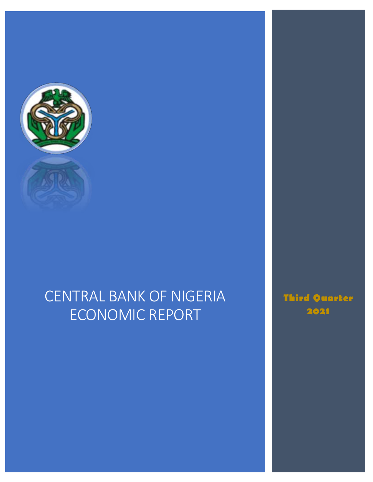

This document is for  $C$  is for  $C$  internal consumption is for  $C$ 

# CENTRAL BANK OF NIGERIA ECONOMIC REPORT

**Third Quarter 2021**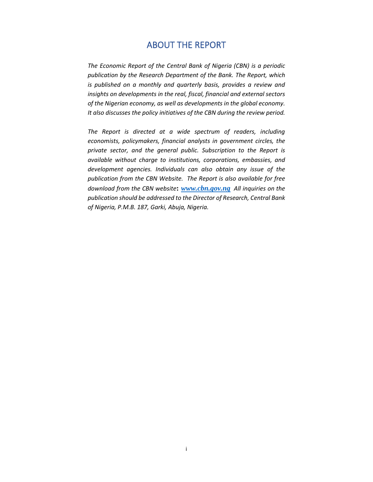# ABOUT THE REPORT

<span id="page-1-0"></span>*The Economic Report of the Central Bank of Nigeria (CBN) is a periodic publication by the Research Department of the Bank. The Report, which is published on a monthly and quarterly basis, provides a review and insights on developments in the real, fiscal, financial and external sectors of the Nigerian economy, as well as developments in the global economy. It also discusses the policy initiatives of the CBN during the review period.* 

*The Report is directed at a wide spectrum of readers, including economists, policymakers, financial analysts in government circles, the private sector, and the general public. Subscription to the Report is available without charge to institutions, corporations, embassies, and development agencies. Individuals can also obtain any issue of the publication from the CBN Website. The Report is also available for free download from the CBN website***:** *[www.cbn.gov.ng](http://www.cbn.gov.ng/) All inquiries on the publication should be addressed to the Director of Research, Central Bank of Nigeria, P.M.B. 187, Garki, Abuja, Nigeria.*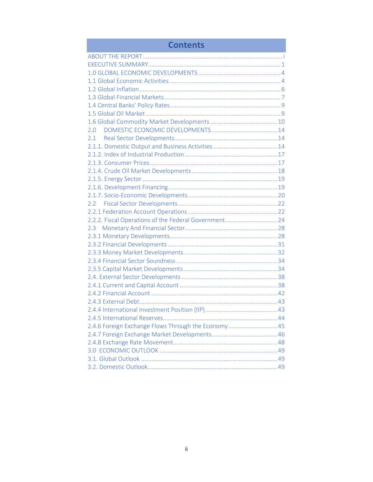| <b>Contents</b>                                       |
|-------------------------------------------------------|
|                                                       |
|                                                       |
|                                                       |
|                                                       |
|                                                       |
|                                                       |
|                                                       |
|                                                       |
|                                                       |
| 2.0                                                   |
|                                                       |
|                                                       |
|                                                       |
|                                                       |
|                                                       |
|                                                       |
|                                                       |
|                                                       |
|                                                       |
|                                                       |
| 2.2.2. Fiscal Operations of the Federal Government 24 |
| $2.3^{\circ}$                                         |
|                                                       |
|                                                       |
|                                                       |
|                                                       |
|                                                       |
|                                                       |
|                                                       |
|                                                       |
|                                                       |
|                                                       |
|                                                       |
| 2.4.6 Foreign Exchange Flows Through the Economy45    |
|                                                       |
|                                                       |
|                                                       |
|                                                       |
|                                                       |

m.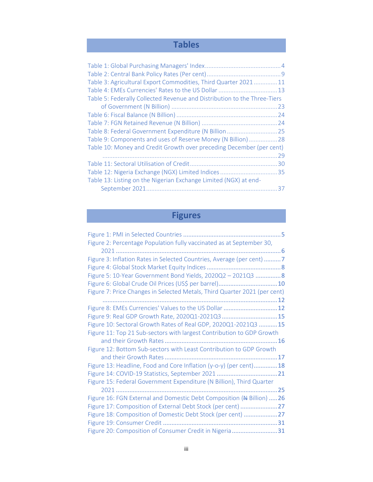# **Tables**

# **Figures**

| Figure 3: Inflation Rates in Selected Countries, Average (per cent) 7     |
|---------------------------------------------------------------------------|
|                                                                           |
| Figure 5: 10-Year Government Bond Yields, 2020Q2 - 2021Q3  8              |
|                                                                           |
| Figure 7: Price Changes in Selected Metals, Third Quarter 2021 (per cent) |
|                                                                           |
| Figure 8: EMEs Currencies' Values to the US Dollar  12                    |
| Figure 9: Real GDP Growth Rate, 2020Q1-2021Q3 15                          |
| Figure 10: Sectoral Growth Rates of Real GDP, 2020Q1-2021Q3 15            |
| Figure 11: Top 21 Sub-sectors with largest Contribution to GDP Growth     |
|                                                                           |
| Figure 12: Bottom Sub-sectors with Least Contribution to GDP Growth       |
|                                                                           |
|                                                                           |
| Figure 13: Headline, Food and Core Inflation (y-o-y) (per cent)18         |
|                                                                           |
| Figure 15: Federal Government Expenditure (N Billion), Third Quarter      |
|                                                                           |
| Figure 16: FGN External and Domestic Debt Composition (# Billion)  26     |
| Figure 17: Composition of External Debt Stock (per cent) 27               |
| Figure 18: Composition of Domestic Debt Stock (per cent) 27               |
|                                                                           |
| Figure 2: Percentage Population fully vaccinated as at September 30,      |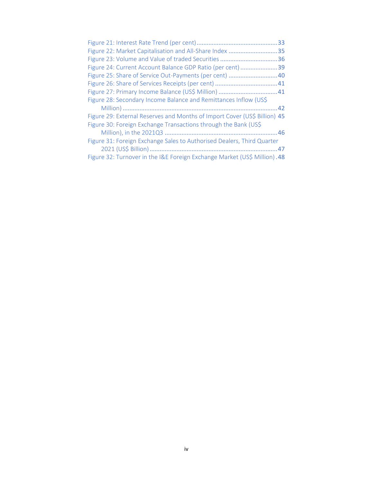|                                                                           | 33 |
|---------------------------------------------------------------------------|----|
| Figure 22: Market Capitalisation and All-Share Index                      | 35 |
| Figure 23: Volume and Value of traded Securities                          | 36 |
| Figure 24: Current Account Balance GDP Ratio (per cent)                   | 39 |
| Figure 25: Share of Service Out-Payments (per cent)  40                   |    |
|                                                                           |    |
|                                                                           |    |
| Figure 28: Secondary Income Balance and Remittances Inflow (US\$          |    |
|                                                                           |    |
| Figure 29: External Reserves and Months of Import Cover (US\$ Billion) 45 |    |
| Figure 30: Foreign Exchange Transactions through the Bank (US\$           |    |
|                                                                           |    |
| Figure 31: Foreign Exchange Sales to Authorised Dealers, Third Quarter    |    |
|                                                                           |    |
| Figure 32: Turnover in the I&E Foreign Exchange Market (US\$ Million). 48 |    |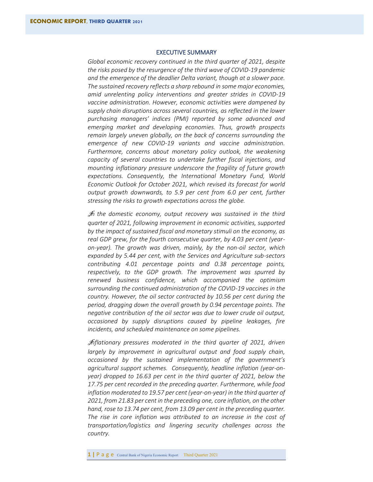### EXECUTIVE SUMMARY

<span id="page-5-0"></span>*Global economic recovery continued in the third quarter of 2021, despite the risks posed by the resurgence of the third wave of COVID-19 pandemic and the emergence of the deadlier Delta variant, though at a slower pace. The sustained recovery reflects a sharp rebound in some major economies, amid unrelenting policy interventions and greater strides in COVID-19 vaccine administration. However, economic activities were dampened by supply chain disruptions across several countries, as reflected in the lower purchasing managers' indices (PMI) reported by some advanced and emerging market and developing economies. Thus, growth prospects remain largely uneven globally, on the back of concerns surrounding the emergence of new COVID-19 variants and vaccine administration. Furthermore, concerns about monetary policy outlook, the weakening capacity of several countries to undertake further fiscal injections, and mounting inflationary pressure underscore the fragility of future growth expectations. Consequently, the International Monetary Fund, World Economic Outlook for October 2021, which revised its forecast for world output growth downwards, to 5.9 per cent from 6.0 per cent, further stressing the risks to growth expectations across the globe.*

I*n the domestic economy, output recovery was sustained in the third quarter of 2021, following improvement in economic activities, supported by the impact of sustained fiscal and monetary stimuli on the economy, as real GDP grew, for the fourth consecutive quarter, by 4.03 per cent (yearon-year). The growth was driven, mainly, by the non-oil sector, which expanded by 5.44 per cent, with the Services and Agriculture sub-sectors contributing 4.01 percentage points and 0.38 percentage points, respectively, to the GDP growth. The improvement was spurred by renewed business confidence, which accompanied the optimism surrounding the continued administration of the COVID-19 vaccines in the country. However, the oil sector contracted by 10.56 per cent during the period, dragging down the overall growth by 0.94 percentage points. The negative contribution of the oil sector was due to lower crude oil output, occasioned by supply disruptions caused by pipeline leakages, fire incidents, and scheduled maintenance on some pipelines.*

I*nflationary pressures moderated in the third quarter of 2021, driven largely by improvement in agricultural output and food supply chain, occasioned by the sustained implementation of the government's agricultural support schemes. Consequently, headline inflation (year-onyear) dropped to 16.63 per cent in the third quarter of 2021, below the 17.75 per cent recorded in the preceding quarter. Furthermore, while food inflation moderated to 19.57 per cent (year-on-year) in the third quarter of 2021, from 21.83 per cent in the preceding one, core inflation, on the other hand, rose to 13.74 per cent, from 13.09 per cent in the preceding quarter. The rise in core inflation was attributed to an increase in the cost of transportation/logistics and lingering security challenges across the country.*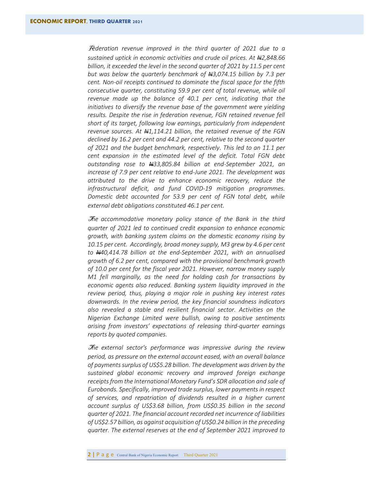F*ederation revenue improved in the third quarter of 2021 due to a sustained uptick in economic activities and crude oil prices. At N2,848.66 billion, it exceeded the level in the second quarter of 2021 by 11.5 per cent but was below the quarterly benchmark of N3,074.15 billion by 7.3 per cent. Non-oil receipts continued to dominate the fiscal space for the fifth consecutive quarter, constituting 59.9 per cent of total revenue, while oil revenue made up the balance of 40.1 per cent, indicating that the initiatives to diversify the revenue base of the government were yielding results. Despite the rise in federation revenue, FGN retained revenue fell short of its target, following low earnings, particularly from independent*  revenue sources. At  $\frac{1}{2}$ 1,114.21 billion, the retained revenue of the FGN *declined by 16.2 per cent and 44.2 per cent, relative to the second quarter of 2021 and the budget benchmark, respectively. This led to an 11.1 per cent expansion in the estimated level of the deficit. Total FGN debt outstanding rose to N33,805.84 billion at end-September 2021, an increase of 7.9 per cent relative to end-June 2021. The development was attributed to the drive to enhance economic recovery, reduce the infrastructural deficit, and fund COVID-19 mitigation programmes. Domestic debt accounted for 53.9 per cent of FGN total debt, while external debt obligations constituted 46.1 per cent.* 

T*he accommodative monetary policy stance of the Bank in the third quarter of 2021 led to continued credit expansion to enhance economic growth, with banking system claims on the domestic economy rising by 10.15 per cent. Accordingly, broad money supply, M3 grew by 4.6 per cent to N40,414.78 billion at the end-September 2021, with an annualised growth of 6.2 per cent, compared with the provisional benchmark growth of 10.0 per cent for the fiscal year 2021. However, narrow money supply M1 fell marginally, as the need for holding cash for transactions by economic agents also reduced. Banking system liquidity improved in the review period, thus, playing a major role in pushing key interest rates downwards. In the review period, the key financial soundness indicators also revealed a stable and resilient financial sector. Activities on the Nigerian Exchange Limited were bullish, owing to positive sentiments arising from investors' expectations of releasing third-quarter earnings reports by quoted companies.*

T*he external sector's performance was impressive during the review period, as pressure on the external account eased, with an overall balance of payments surplus of US\$5.28 billion. The development was driven by the sustained global economic recovery and improved foreign exchange receipts from the International Monetary Fund's SDR allocation and sale of Eurobonds. Specifically, improved trade surplus, lower payments in respect of services, and repatriation of dividends resulted in a higher current account surplus of US\$3.68 billion, from US\$0.35 billion in the second quarter of 2021. The financial account recorded net incurrence of liabilities of US\$2.57 billion, as against acquisition of US\$0.24 billion in the preceding quarter. The external reserves at the end of September 2021 improved to*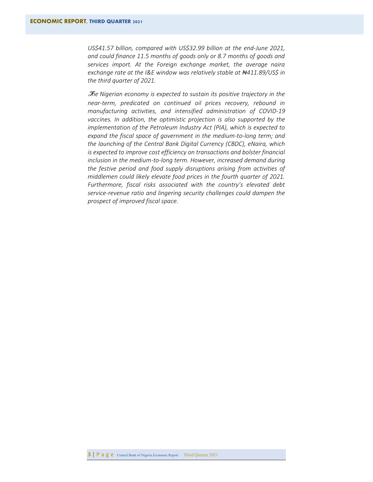*US\$41.57 billion, compared with US\$32.99 billion at the end-June 2021, and could finance 11.5 months of goods only or 8.7 months of goods and services import. At the Foreign exchange market, the average naira exchange rate at the I&E window was relatively stable at ₦411.89/US\$ in the third quarter of 2021.*

T*he Nigerian economy is expected to sustain its positive trajectory in the near-term, predicated on continued oil prices recovery, rebound in manufacturing activities, and intensified administration of COVID-19 vaccines. In addition, the optimistic projection is also supported by the implementation of the Petroleum Industry Act (PIA), which is expected to expand the fiscal space of government in the medium-to-long term; and the launching of the Central Bank Digital Currency (CBDC), eNaira, which is expected to improve cost efficiency on transactions and bolster financial inclusion in the medium-to-long term. However, increased demand during the festive period and food supply disruptions arising from activities of middlemen could likely elevate food prices in the fourth quarter of 2021. Furthermore, fiscal risks associated with the country's elevated debt service-revenue ratio and lingering security challenges could dampen the prospect of improved fiscal space.*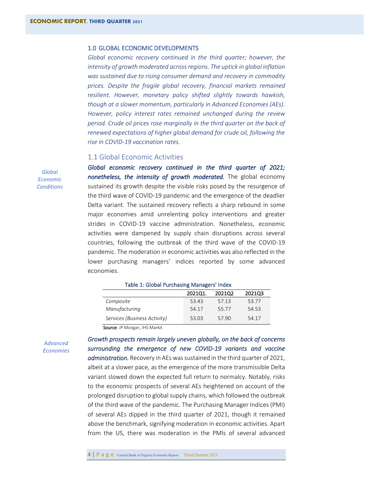#### <span id="page-8-0"></span>1.0 GLOBAL ECONOMIC DEVELOPMENTS

*Global economic recovery continued in the third quarter; however, the intensity of growth moderated across regions. The uptick in global inflation was sustained due to rising consumer demand and recovery in commodity prices. Despite the fragile global recovery, financial markets remained resilient. However, monetary policy shifted slightly towards hawkish, though at a slower momentum, particularly in Advanced Economies (AEs). However, policy interest rates remained unchanged during the review period. Crude oil prices rose marginally in the third quarter on the back of renewed expectations of higher global demand for crude oil, following the rise in COVID-19 vaccination rates.*

# <span id="page-8-1"></span>1.1 Global Economic Activities

*Global economic recovery continued in the third quarter of 2021; nonetheless, the intensity of growth moderated.* The global economy sustained its growth despite the visible risks posed by the resurgence of the third wave of COVID-19 pandemic and the emergence of the deadlier Delta variant. The sustained recovery reflects a sharp rebound in some major economies amid unrelenting policy interventions and greater strides in COVID-19 vaccine administration. Nonetheless, economic activities were dampened by supply chain disruptions across several countries, following the outbreak of the third wave of the COVID-19 pandemic. The moderation in economic activities was also reflected in the lower purchasing managers' indices reported by some advanced economies.

#### <span id="page-8-2"></span>Table 1: Global Purchasing Managers' Index

|                              | 202101. | 2021Q2 | 2021Q3 |
|------------------------------|---------|--------|--------|
| Composite                    | 53.43   | 57.13  | 53.77  |
| Manufacturing                | 54.17   | 55.77  | 54.53  |
| Services (Business Activity) | 53.03   | 57.90  | 54.17  |

*Growth prospects remain largely uneven globally, on the back of concerns* 

Source: JP Morgan, IHS Markit

*Advanced Economies* 

*surrounding the emergence of new COVID-19 variants and vaccine administration.* Recovery in AEs was sustained in the third quarter of 2021, albeit at a slower pace, as the emergence of the more transmissible Delta variant slowed down the expected full return to normalcy. Notably, risks to the economic prospects of several AEs heightened on account of the prolonged disruption to global supply chains, which followed the outbreak of the third wave of the pandemic. The Purchasing Manager Indices (PMI) of several AEs dipped in the third quarter of 2021, though it remained above the benchmark, signifying moderation in economic activities. Apart from the US, there was moderation in the PMIs of several advanced

*Global Economic Conditions*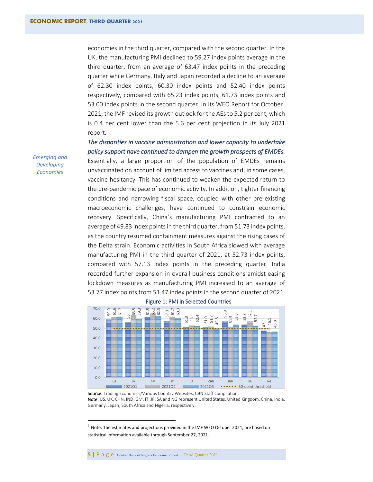economies in the third quarter, compared with the second quarter. In the UK, the manufacturing PMI declined to 59.27 index points average in the third quarter, from an average of 63.47 index points in the preceding quarter while Germany, Italy and Japan recorded a decline to an average of 62.30 index points, 60.30 index points and 52.40 index points respectively, compared with 65.23 index points, 61.73 index points and 53.00 index points in the second quarter. In its WEO Report for October $1$ 2021, the IMF revised its growth outlook for the AEs to 5.2 per cent, which is 0.4 per cent lower than the 5.6 per cent projection in its July 2021 report.

*The disparities in vaccine administration and lower capacity to undertake policy support have continued to dampen the growth prospects of EMDEs.*

Essentially, a large proportion of the population of EMDEs remains unvaccinated on account of limited access to vaccines and, in some cases, vaccine hesitancy. This has continued to weaken the expected return to the pre-pandemic pace of economic activity. In addition, tighter financing conditions and narrowing fiscal space, coupled with other pre-existing macroeconomic challenges, have continued to constrain economic recovery. Specifically, China's manufacturing PMI contracted to an average of 49.83 index points in the third quarter, from 51.73 index points, as the country resumed containment measures against the rising cases of the Delta strain. Economic activities in South Africa slowed with average manufacturing PMI in the third quarter of 2021, at 52.73 index points, compared with 57.13 index points in the preceding quarter. India recorded further expansion in overall business conditions amidst easing lockdown measures as manufacturing PMI increased to an average of 53.77 index points from 51.47 index points in the second quarter of 2021.



#### <span id="page-9-0"></span>Figure 1: PMI in Selected Countries

*Emerging and Developing Economies* 

Source: Trading Economics/Various Country Websites, CBN Staff compilation. Note: US, UK, CHN, IND, GM, IT, JP, SA and NG represent United States, United Kingdom, China, India, Germany, Japan, South Africa and Nigeria, respectively.

 $1$  Note: The estimates and projections provided in the IMF WEO October 2021, are based on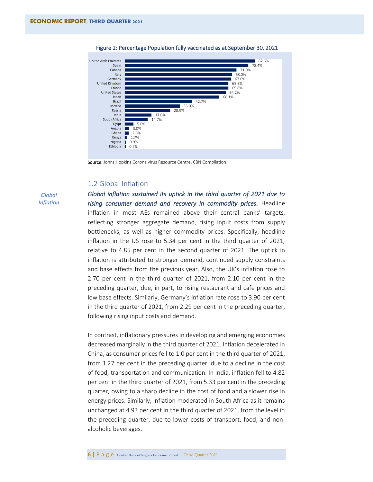

<span id="page-10-1"></span>

Source: Johns Hopkins Corona virus Resource Centre, CBN Compilation.

# <span id="page-10-0"></span>1.2 Global Inflation

*Global Inflation* *Global inflation sustained its uptick in the third quarter of 2021 due to rising consumer demand and recovery in commodity prices.* Headline inflation in most AEs remained above their central banks' targets, reflecting stronger aggregate demand, rising input costs from supply bottlenecks, as well as higher commodity prices. Specifically, headline inflation in the US rose to 5.34 per cent in the third quarter of 2021, relative to 4.85 per cent in the second quarter of 2021. The uptick in inflation is attributed to stronger demand, continued supply constraints and base effects from the previous year. Also, the UK's inflation rose to 2.70 per cent in the third quarter of 2021, from 2.10 per cent in the preceding quarter, due, in part, to rising restaurant and cafe prices and low base effects. Similarly, Germany's inflation rate rose to 3.90 per cent in the third quarter of 2021, from 2.29 per cent in the preceding quarter, following rising input costs and demand.

In contrast, inflationary pressures in developing and emerging economies decreased marginally in the third quarter of 2021. Inflation decelerated in China, as consumer prices fell to 1.0 per cent in the third quarter of 2021, from 1.27 per cent in the preceding quarter, due to a decline in the cost of food, transportation and communication. In India, inflation fell to 4.82 per cent in the third quarter of 2021, from 5.33 per cent in the preceding quarter, owing to a sharp decline in the cost of food and a slower rise in energy prices. Similarly, inflation moderated in South Africa as it remains unchanged at 4.93 per cent in the third quarter of 2021, from the level in the preceding quarter, due to lower costs of transport, food, and nonalcoholic beverages.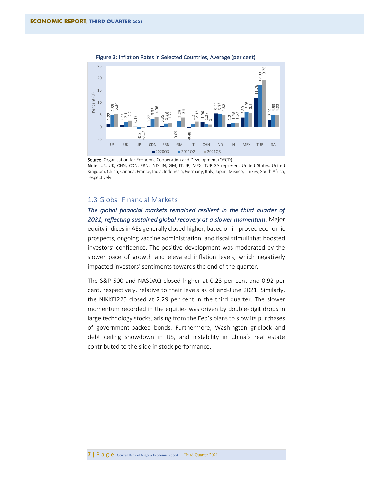

<span id="page-11-1"></span>Figure 3: Inflation Rates in Selected Countries, Average (per cent)

Source: Organisation for Economic Cooperation and Development (OECD) Note: US, UK, CHN, CDN, FRN, IND, IN, GM, IT, JP, MEX, TUR SA represent United States, United Kingdom, China, Canada, France, India, Indonesia, Germany, Italy, Japan, Mexico, Turkey, South Africa, respectively.

# <span id="page-11-0"></span>1.3 Global Financial Markets

*The global financial markets remained resilient in the third quarter of 2021, reflecting sustained global recovery at a slower momentum.* Major equity indices in AEs generally closed higher, based on improved economic prospects, ongoing vaccine administration, and fiscal stimuli that boosted investors' confidence. The positive development was moderated by the slower pace of growth and elevated inflation levels, which negatively impacted investors' sentiments towards the end of the quarter*.* 

The S&P 500 and NASDAQ closed higher at 0.23 per cent and 0.92 per cent, respectively, relative to their levels as of end-June 2021. Similarly, the NIKKEI225 closed at 2.29 per cent in the third quarter. The slower momentum recorded in the equities was driven by double-digit drops in large technology stocks, arising from the Fed's plans to slow its purchases of government-backed bonds. Furthermore, Washington gridlock and debt ceiling showdown in US, and instability in China's real estate contributed to the slide in stock performance. Nathan Contains and Salt Articles in the still of the still of the state of the state of the state of the state of the state of the state of the state of the state of the state of the state of the state of the state of the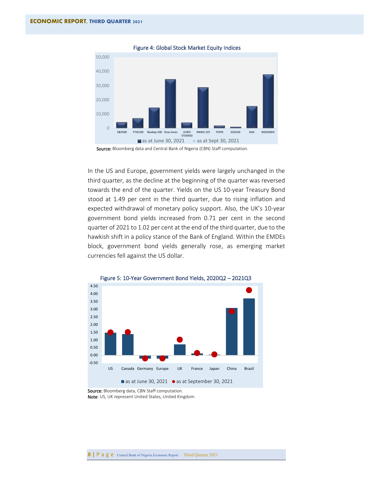<span id="page-12-0"></span>

Figure 4: Global Stock Market Equity Indices



In the US and Europe, government yields were largely unchanged in the third quarter, as the decline at the beginning of the quarter was reversed towards the end of the quarter. Yields on the US 10-year Treasury Bond stood at 1.49 per cent in the third quarter, due to rising inflation and expected withdrawal of monetary policy support. Also, the UK's 10-year government bond yields increased from 0.71 per cent in the second quarter of 2021 to 1.02 per cent at the end of the third quarter, due to the hawkish shift in a policy stance of the Bank of England. Within the EMDEs block, government bond yields generally rose, as emerging market currencies fell against the US dollar.

<span id="page-12-1"></span>

Source: Bloomberg data, CBN Staff computation. Note: US, UK represent United States, United Kingdom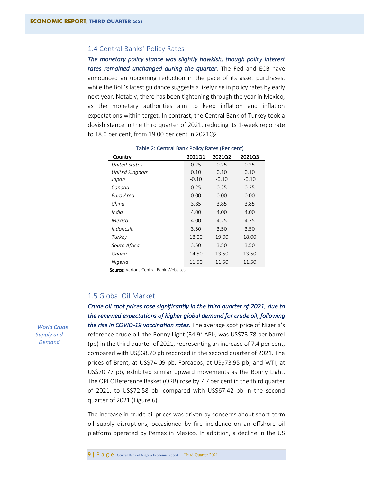# <span id="page-13-0"></span>1.4 Central Banks' Policy Rates

*The monetary policy stance was slightly hawkish, though policy interest rates remained unchanged during the quarter*. The Fed and ECB have announced an upcoming reduction in the pace of its asset purchases, while the BoE's latest guidance suggests a likely rise in policy rates by early next year. Notably, there has been tightening through the year in Mexico, as the monetary authorities aim to keep inflation and inflation expectations within target. In contrast, the Central Bank of Turkey took a dovish stance in the third quarter of 2021, reducing its 1-week repo rate to 18.0 per cent, from 19.00 per cent in 2021Q2.

<span id="page-13-2"></span>

| Country        | 2021Q1  | 2021Q2  | 2021Q3  |
|----------------|---------|---------|---------|
| United States  | 0.25    | 0.25    | 0.25    |
| United Kingdom | 0.10    | 0.10    | 0.10    |
| Japan          | $-0.10$ | $-0.10$ | $-0.10$ |
| Canada         | 0.25    | 0.25    | 0.25    |
| Euro Area      | 0.00    | 0.00    | 0.00    |
| China          | 3.85    | 3.85    | 3.85    |
| India          | 4.00    | 4.00    | 4.00    |
| Mexico         | 4.00    | 4.25    | 4.75    |
| Indonesia      | 3.50    | 3.50    | 3.50    |
| Turkey         | 18.00   | 19.00   | 18.00   |
| South Africa   | 3.50    | 3.50    | 3.50    |
| Ghana          | 14.50   | 13.50   | 13.50   |
| Nigeria        | 11.50   | 11.50   | 11.50   |

| Table 2: Central Bank Policy Rates (Per cent) |
|-----------------------------------------------|
|-----------------------------------------------|

Source: Various Central Bank Websites

# <span id="page-13-1"></span>1.5 Global Oil Market

*Crude oil spot prices rose significantly in the third quarter of 2021, due to the renewed expectations of higher global demand for crude oil, following the rise in COVID-19 vaccination rates.* The average spot price of Nigeria's reference crude oil, the Bonny Light (34.9° API), was US\$73.78 per barrel (pb) in the third quarter of 2021, representing an increase of 7.4 per cent, compared with US\$68.70 pb recorded in the second quarter of 2021. The prices of Brent, at US\$74.09 pb, Forcados, at US\$73.95 pb, and WTI, at US\$70.77 pb, exhibited similar upward movements as the Bonny Light. The OPEC Reference Basket (ORB) rose by 7.7 per cent in the third quarter of 2021, to US\$72.58 pb, compared with US\$67.42 pb in the second quarter of 2021 (Figure 6).

The increase in crude oil prices was driven by concerns about short-term oil supply disruptions, occasioned by fire incidence on an offshore oil platform operated by Pemex in Mexico. In addition, a decline in the US

 *World Crude Supply and Demand*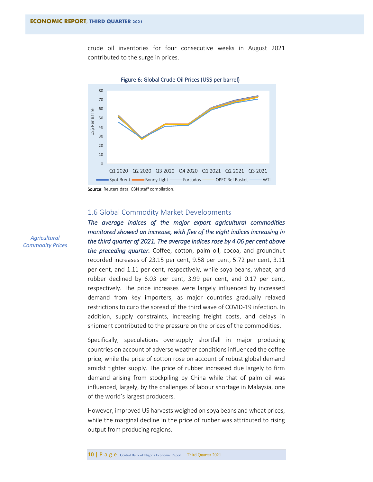crude oil inventories for four consecutive weeks in August 2021 contributed to the surge in prices.

<span id="page-14-1"></span>

Source: Reuters data, CBN staff compilation.

# <span id="page-14-0"></span>1.6 Global Commodity Market Developments

*The average indices of the major export agricultural commodities monitored showed an increase, with five of the eight indices increasing in the third quarter of 2021. The average indices rose by 4.06 per cent above the preceding quarter.* Coffee, cotton, palm oil, cocoa, and groundnut recorded increases of 23.15 per cent, 9.58 per cent, 5.72 per cent, 3.11 per cent, and 1.11 per cent, respectively, while soya beans, wheat, and rubber declined by 6.03 per cent, 3.99 per cent, and 0.17 per cent, respectively. The price increases were largely influenced by increased demand from key importers, as major countries gradually relaxed restrictions to curb the spread of the third wave of COVID-19 infection. In addition, supply constraints, increasing freight costs, and delays in shipment contributed to the pressure on the prices of the commodities.

Specifically, speculations oversupply shortfall in major producing countries on account of adverse weather conditions influenced the coffee price, while the price of cotton rose on account of robust global demand amidst tighter supply. The price of rubber increased due largely to firm demand arising from stockpiling by China while that of palm oil was influenced, largely, by the challenges of labour shortage in Malaysia, one of the world's largest producers.

However, improved US harvests weighed on soya beans and wheat prices, while the marginal decline in the price of rubber was attributed to rising output from producing regions.

*Agricultural Commodity Prices*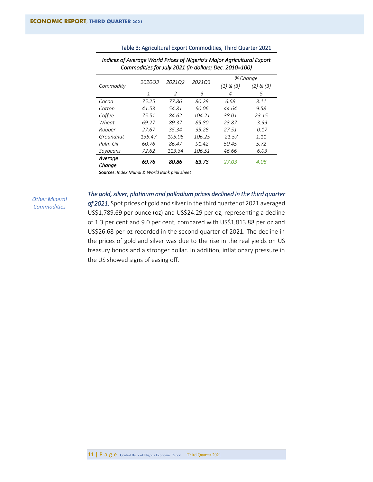| Commodities for July 2021 (in dollars; Dec. 2010=100) |        |        |        |               |               |  |
|-------------------------------------------------------|--------|--------|--------|---------------|---------------|--|
|                                                       |        |        | 202103 | % Change      |               |  |
| Commodity                                             | 202003 | 202102 |        | $(1)$ & $(3)$ | $(2)$ & $(3)$ |  |
|                                                       | 1      | 2      | 3      | 4             | 5             |  |
| Cocoa                                                 | 75.25  | 77.86  | 80.28  | 6.68          | 3.11          |  |
| Cotton                                                | 41.53  | 54.81  | 60.06  | 44.64         | 9.58          |  |
| Coffee                                                | 75.51  | 84.62  | 104.21 | 38.01         | 23.15         |  |
| Wheat                                                 | 69.27  | 89.37  | 85.80  | 23.87         | $-3.99$       |  |
| Rubber                                                | 27.67  | 35.34  | 35.28  | 27.51         | $-0.17$       |  |
| Groundnut                                             | 135.47 | 105.08 | 106.25 | $-21.57$      | 1.11          |  |
| Palm Oil                                              | 60.76  | 86.47  | 91.42  | 50.45         | 5.72          |  |
| Soybeans                                              | 72.62  | 113.34 | 106.51 | 46.66         | $-6.03$       |  |
| Average<br>Chanae                                     | 69.76  | 80.86  | 83.73  | 27.03         | 4.06          |  |

*Indices of Average World Prices of Nigeria's Major Agricultural Export* 

### <span id="page-15-0"></span>Table 3: Agricultural Export Commodities, Third Quarter 2021

Sources: *Index Mundi & World Bank pink sheet*

*Other Mineral Commodities*

*The gold, silver, platinum and palladium prices declined in the third quarter* 

*of 2021.* Spot prices of gold and silver in the third quarter of 2021 averaged US\$1,789.69 per ounce (oz) and US\$24.29 per oz, representing a decline of 1.3 per cent and 9.0 per cent, compared with US\$1,813.88 per oz and US\$26.68 per oz recorded in the second quarter of 2021. The decline in the prices of gold and silver was due to the rise in the real yields on US treasury bonds and a stronger dollar. In addition, inflationary pressure in the US showed signs of easing off.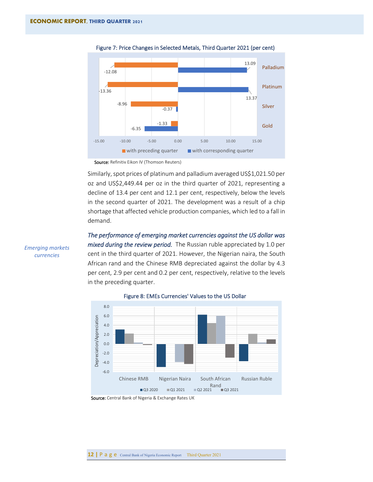

<span id="page-16-0"></span>Figure 7: Price Changes in Selected Metals, Third Quarter 2021 (per cent)

Source: Refinitiv Eikon IV (Thomson Reuters)

Similarly, spot prices of platinum and palladium averaged US\$1,021.50 per oz and US\$2,449.44 per oz in the third quarter of 2021, representing a decline of 13.4 per cent and 12.1 per cent, respectively, below the levels in the second quarter of 2021. The development was a result of a chip shortage that affected vehicle production companies, which led to a fall in demand.

*The performance of emerging market currencies against the US dollar was mixed during the review period.* The Russian ruble appreciated by 1.0 per

cent in the third quarter of 2021. However, the Nigerian naira, the South African rand and the Chinese RMB depreciated against the dollar by 4.3 per cent, 2.9 per cent and 0.2 per cent, respectively, relative to the levels in the preceding quarter.



<span id="page-16-1"></span>Figure 8: EMEs Currencies' Values to the US Dollar

*Emerging markets currencies* 

Source: Central Bank of Nigeria & Exchange Rates UK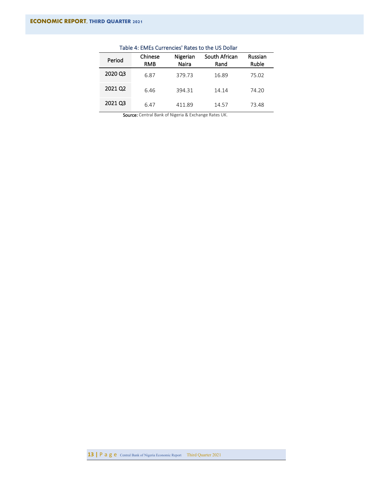| Period  | Chinese<br><b>RMB</b> | Nigerian<br>Naira | South African<br>Rand | Russian<br>Ruble |
|---------|-----------------------|-------------------|-----------------------|------------------|
| 2020 Q3 | 6.87                  | 379.73            | 16.89                 | 75.02            |
| 2021 Q2 | 6.46                  | 394.31            | 14.14                 | 74.20            |
| 2021 Q3 | 6.47                  | 411.89            | 14.57                 | 73.48            |

# <span id="page-17-0"></span>Table 4: EMEs Currencies' Rates to the US Dollar

Source: Central Bank of Nigeria & Exchange Rates UK.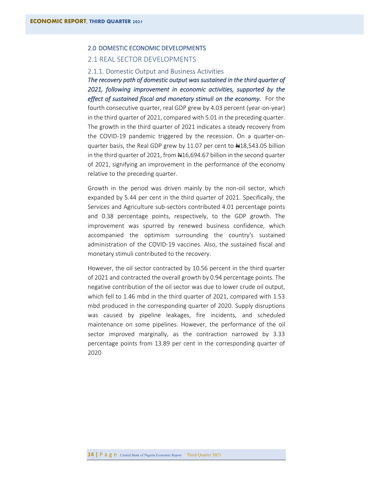# <span id="page-18-0"></span>2.0 DOMESTIC ECONOMIC DEVELOPMENTS

# <span id="page-18-1"></span>2.1 REAL SECTOR DEVELOPMENTS

### <span id="page-18-2"></span>2.1.1. Domestic Output and Business Activities

*The recovery path of domestic output was sustained in the third quarter of 2021, following improvement in economic activities, supported by the effect of sustained fiscal and monetary stimuli on the economy.* For the fourth consecutive quarter, real GDP grew by 4.03 percent (year-on-year) in the third quarter of 2021, compared with 5.01 in the preceding quarter. The growth in the third quarter of 2021 indicates a steady recovery from the COVID-19 pandemic triggered by the recession. On a quarter-onquarter basis, the Real GDP grew by 11.07 per cent to  $\text{H}18,543.05$  billion in the third quarter of 2021, from  $\text{\#16,694.67}$  billion in the second quarter of 2021, signifying an improvement in the performance of the economy relative to the preceding quarter.

Growth in the period was driven mainly by the non-oil sector, which expanded by 5.44 per cent in the third quarter of 2021. Specifically, the Services and Agriculture sub-sectors contributed 4.01 percentage points and 0.38 percentage points, respectively, to the GDP growth. The improvement was spurred by renewed business confidence, which accompanied the optimism surrounding the country's sustained administration of the COVID-19 vaccines. Also, the sustained fiscal and monetary stimuli contributed to the recovery.

However, the oil sector contracted by 10.56 percent in the third quarter of 2021 and contracted the overall growth by 0.94 percentage points. The negative contribution of the oil sector was due to lower crude oil output, which fell to 1.46 mbd in the third quarter of 2021, compared with 1.53 mbd produced in the corresponding quarter of 2020. Supply disruptions was caused by pipeline leakages, fire incidents, and scheduled maintenance on some pipelines. However, the performance of the oil sector improved marginally, as the contraction narrowed by 3.33 percentage points from 13.89 per cent in the corresponding quarter of 2020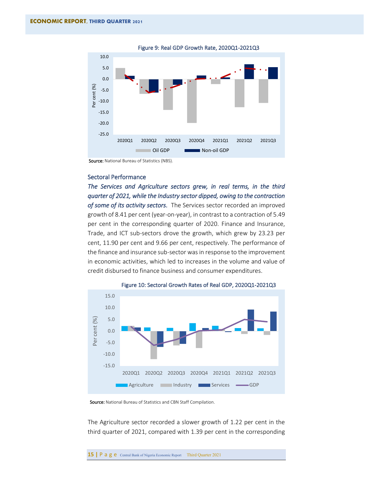<span id="page-19-0"></span>

Figure 9: Real GDP Growth Rate, 2020Q1-2021Q3

Source: National Bureau of Statistics (NBS).

# Sectoral Performance

*The Services and Agriculture sectors grew, in real terms, in the third quarter of 2021, while the Industry sector dipped, owing to the contraction of some of its activity sectors.* The Services sector recorded an improved growth of 8.41 per cent (year-on-year), in contrast to a contraction of 5.49 per cent in the corresponding quarter of 2020. Finance and Insurance, Trade, and ICT sub-sectors drove the growth, which grew by 23.23 per cent, 11.90 per cent and 9.66 per cent, respectively. The performance of the finance and insurance sub-sector was in response to the improvement in economic activities, which led to increases in the volume and value of credit disbursed to finance business and consumer expenditures.

<span id="page-19-1"></span>

Figure 10: Sectoral Growth Rates of Real GDP, 2020Q1-2021Q3

Source: National Bureau of Statistics and CBN Staff Compilation.

The Agriculture sector recorded a slower growth of 1.22 per cent in the third quarter of 2021, compared with 1.39 per cent in the corresponding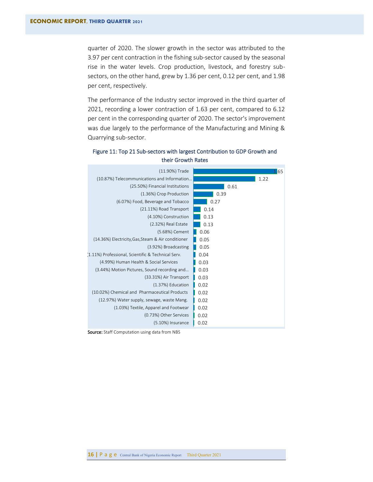quarter of 2020. The slower growth in the sector was attributed to the 3.97 per cent contraction in the fishing sub-sector caused by the seasonal rise in the water levels. Crop production, livestock, and forestry subsectors, on the other hand, grew by 1.36 per cent, 0.12 per cent, and 1.98 per cent, respectively.

The performance of the Industry sector improved in the third quarter of 2021, recording a lower contraction of 1.63 per cent, compared to 6.12 per cent in the corresponding quarter of 2020. The sector's improvement was due largely to the performance of the Manufacturing and Mining & Quarrying sub-sector.



# <span id="page-20-0"></span>Figure 11: Top 21 Sub-sectors with largest Contribution to GDP Growth and their Growth Rates

Source: Staff Computation using data from NBS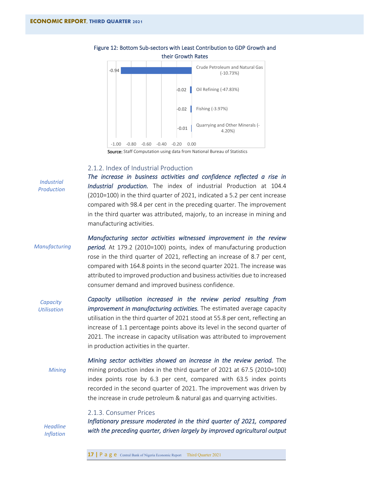

# <span id="page-21-2"></span>Figure 12: Bottom Sub-sectors with Least Contribution to GDP Growth and their Growth Rates

Source: Staff Computation using data from National Bureau of Statistics

#### <span id="page-21-0"></span>2.1.2. Index of Industrial Production

*The increase in business activities and confidence reflected a rise in Industrial production.* The index of industrial Production at 104.4 (2010=100) in the third quarter of 2021, indicated a 5.2 per cent increase compared with 98.4 per cent in the preceding quarter. The improvement in the third quarter was attributed, majorly, to an increase in mining and manufacturing activities.

*Manufacturing*

*Industrial Production*

> *Manufacturing sector activities witnessed improvement in the review period.* At 179.2 (2010=100) points, index of manufacturing production rose in the third quarter of 2021, reflecting an increase of 8.7 per cent, compared with 164.8 points in the second quarter 2021. The increase was attributed to improved production and business activities due to increased consumer demand and improved business confidence.

*Capacity utilisation increased in the review period resulting from improvement in manufacturing activities.* The estimated average capacity utilisation in the third quarter of 2021 stood at 55.8 per cent, reflecting an increase of 1.1 percentage points above its level in the second quarter of 2021. The increase in capacity utilisation was attributed to improvement in production activities in the quarter. *Capacity Utilisation*

*Mining sector activities showed an increase in the review period.* The mining production index in the third quarter of 2021 at 67.5 (2010=100) index points rose by 6.3 per cent, compared with 63.5 index points recorded in the second quarter of 2021. The improvement was driven by the increase in crude petroleum & natural gas and quarrying activities. *Mining*

#### <span id="page-21-1"></span>2.1.3. Consumer Prices

*Headline Inflation* *Inflationary pressure moderated in the third quarter of 2021, compared with the preceding quarter, driven largely by improved agricultural output* 

**17 | P a g e** Central Bank of Nigeria Economic Report Third Quarter 2021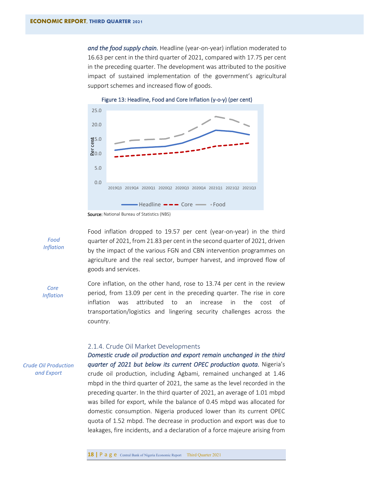*and the food supply chain.* Headline (year-on-year) inflation moderated to 16.63 per cent in the third quarter of 2021, compared with 17.75 per cent in the preceding quarter. The development was attributed to the positive impact of sustained implementation of the government's agricultural support schemes and increased flow of goods.



<span id="page-22-1"></span>

*Food Inflation* Food inflation dropped to 19.57 per cent (year-on-year) in the third quarter of 2021, from 21.83 per cent in the second quarter of 2021, driven by the impact of the various FGN and CBN intervention programmes on agriculture and the real sector, bumper harvest, and improved flow of goods and services.

*Core Inflation* Core inflation, on the other hand, rose to 13.74 per cent in the review period, from 13.09 per cent in the preceding quarter. The rise in core inflation was attributed to an increase in the cost of transportation/logistics and lingering security challenges across the country.

#### <span id="page-22-0"></span>2.1.4. Crude Oil Market Developments

*Crude Oil Production and Export*

*Domestic crude oil production and export remain unchanged in the third quarter of 2021 but below its current OPEC production quota.* Nigeria's crude oil production, including Agbami, remained unchanged at 1.46 mbpd in the third quarter of 2021, the same as the level recorded in the preceding quarter. In the third quarter of 2021, an average of 1.01 mbpd was billed for export, while the balance of 0.45 mbpd was allocated for domestic consumption. Nigeria produced lower than its current OPEC quota of 1.52 mbpd. The decrease in production and export was due to leakages, fire incidents, and a declaration of a force majeure arising from

Source: National Bureau of Statistics (NBS)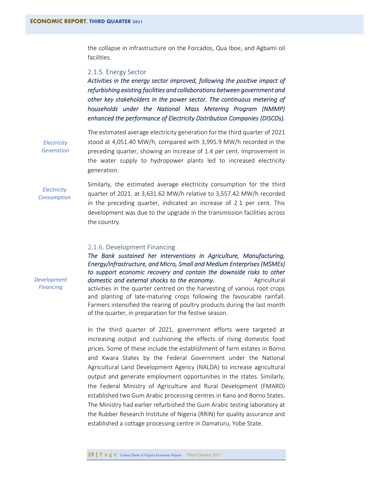the collapse in infrastructure on the Forcados, Qua Iboe, and Agbami oil facilities.

#### <span id="page-23-0"></span>2.1.5. Energy Sector

*Activities in the energy sector improved, following the positive impact of refurbishing existing facilities and collaborations between government and other key stakeholders in the power sector. The continuous metering of households under the National Mass Metering Program (NMMP) enhanced the performance of Electricity Distribution Companies (DISCOs).* 

*Electricity Generation* The estimated average electricity generation for the third quarter of 2021 stood at 4,051.40 MW/h, compared with 3,995.9 MW/h recorded in the preceding quarter, showing an increase of 1.4 per cent. Improvement in the water supply to hydropower plants led to increased electricity generation.

*Electricity Consumption*

*Development Financing*

Similarly, the estimated average electricity consumption for the third quarter of 2021, at 3,631.62 MW/h relative to 3,557.42 MW/h recorded in the preceding quarter, indicated an increase of 2.1 per cent. This development was due to the upgrade in the transmission facilities across the country.

# <span id="page-23-1"></span>2.1.6. Development Financing

*The Bank sustained her interventions in Agriculture, Manufacturing, Energy/infrastructure, and Micro, Small and Medium Enterprises (MSMEs) to support economic recovery and contain the downside risks to other domestic and external shocks to the economy.* Agricultural activities in the quarter centred on the harvesting of various root crops and planting of late-maturing crops following the favourable rainfall. Farmers intensified the rearing of poultry products during the last month of the quarter, in preparation for the festive season.

In the third quarter of 2021, government efforts were targeted at increasing output and cushioning the effects of rising domestic food prices. Some of these include the establishment of farm estates in Borno and Kwara States by the Federal Government under the National Agricultural Land Development Agency (NALDA) to increase agricultural output and generate employment opportunities in the states. Similarly, the Federal Ministry of Agriculture and Rural Development (FMARD) established two Gum Arabic processing centres in Kano and Borno States. The Ministry had earlier refurbished the Gum Arabic testing laboratory at the Rubber Research Institute of Nigeria (RRIN) for quality assurance and established a cottage processing centre in Damaturu, Yobe State.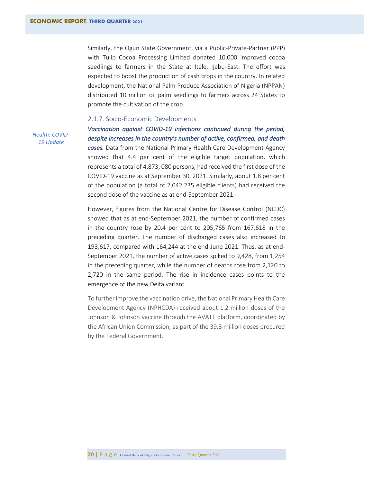Similarly, the Ogun State Government, via a Public-Private-Partner (PPP) with Tulip Cocoa Processing Limited donated 10,000 improved cocoa seedlings to farmers in the State at Itele, Ijebu-East. The effort was expected to boost the production of cash crops in the country. In related development, the National Palm Produce Association of Nigeria (NPPAN) distributed 10 million oil palm seedlings to farmers across 24 States to promote the cultivation of the crop.

#### <span id="page-24-0"></span>2.1.7. Socio-Economic Developments

*Health: COVID-19 Update*

*Vaccination against COVID-19 infections continued during the period, despite increases in the country's number of active, confirmed, and death cases.* Data from the National Primary Health Care Development Agency showed that 4.4 per cent of the eligible target population, which represents a total of 4,873, 080 persons, had received the first dose of the COVID-19 vaccine as at September 30, 2021. Similarly, about 1.8 per cent of the population (a total of 2,042,235 eligible clients) had received the second dose of the vaccine as at end-September 2021.

However, figures from the National Centre for Disease Control (NCDC) showed that as at end-September 2021, the number of confirmed cases in the country rose by 20.4 per cent to 205,765 from 167,618 in the preceding quarter. The number of discharged cases also increased to 193,617, compared with 164,244 at the end-June 2021. Thus, as at end-September 2021, the number of active cases spiked to 9,428, from 1,254 in the preceding quarter, while the number of deaths rose from 2,120 to 2,720 in the same period. The rise in incidence cases points to the emergence of the new Delta variant.

To further improve the vaccination drive, the National Primary Health Care Development Agency (NPHCDA) received about 1.2 million doses of the Johnson & Johnson vaccine through the AVATT platform, coordinated by the African Union Commission, as part of the 39.8 million doses procured by the Federal Government.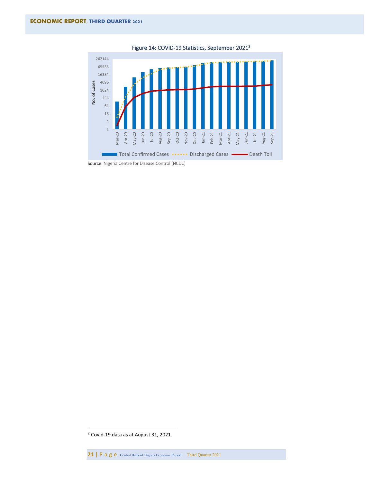

<span id="page-25-0"></span>Figure 14: COVID-19 Statistics, September 2021<sup>2</sup>

<sup>2</sup> Covid-19 data as at August 31, 2021.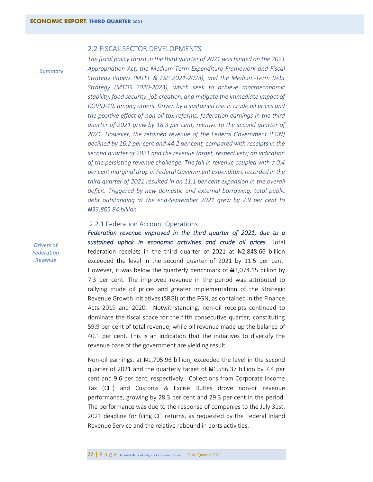### <span id="page-26-0"></span>2.2 FISCAL SECTOR DEVELOPMENTS

*Summary*

*The fiscal policy thrust in the third quarter of 2021 was hinged on the 2021 Appropriation Act, the Medium-Term Expenditure Framework and Fiscal Strategy Papers (MTEF & FSP 2021-2023), and the Medium-Term Debt Strategy (MTDS 2020-2023), which seek to achieve macroeconomic stability, food security, job creation, and mitigate the immediate impact of COVID-19, among others. Driven by a sustained rise in crude oil prices and the positive effect of non-oil tax reforms, federation earnings in the third quarter of 2021 grew by 18.3 per cent, relative to the second quarter of 2021. However, the retained revenue of the Federal Government (FGN) declined by 16.2 per cent and 44.2 per cent, compared with receipts in the second quarter of 2021 and the revenue target, respectively; an indication of the persisting revenue challenge. The fall in revenue coupled with a 0.4 per cent marginal drop in Federal Government expenditure recorded in the third quarter of 2021 resulted in an 11.1 per cent expansion in the overall deficit. Triggered by new domestic and external borrowing, total public debt outstanding at the end-September 2021 grew by 7.9 per cent to N33,805.84 billion.* 

# <span id="page-26-1"></span>2.2.1 Federation Account Operations

*Federation revenue improved in the third quarter of 2021, due to a sustained uptick in economic activities and crude oil prices.* Total federation receipts in the third quarter of 2021 at  $\text{H2},848.66$  billion exceeded the level in the second quarter of 2021 by 11.5 per cent. However, it was below the quarterly benchmark of  $\text{H}3,074.15$  billion by 7.3 per cent. The improved revenue in the period was attributed to rallying crude oil prices and greater implementation of the Strategic Revenue Growth Initiatives (SRGI) of the FGN, as contained in the Finance Acts 2019 and 2020. Notwithstanding, non-oil receipts continued to dominate the fiscal space for the fifth consecutive quarter, constituting 59.9 per cent of total revenue, while oil revenue made up the balance of 40.1 per cent. This is an indication that the initiatives to diversify the revenue base of the government are yielding result

Non-oil earnings, at  $\frac{1000}{1000}$  and billion, exceeded the level in the second quarter of 2021 and the quarterly target of  $\frac{1}{2}$ , 556.37 billion by 7.4 per cent and 9.6 per cent, respectively. Collections from Corporate Income Tax (CIT) and Customs & Excise Duties drove non-oil revenue performance, growing by 28.3 per cent and 29.3 per cent in the period. The performance was due to the response of companies to the July 31st, 2021 deadline for filing CIT returns, as requested by the Federal Inland Revenue Service and the relative rebound in ports activities.

*Drivers of Federation Revenue*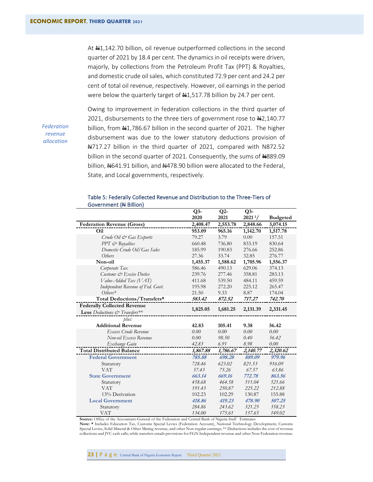At  $\frac{11}{142.70}$  billion, oil revenue outperformed collections in the second quarter of 2021 by 18.4 per cent. The dynamics in oil receipts were driven, majorly, by collections from the Petroleum Profit Tax (PPT) & Royalties, and domestic crude oil sales, which constituted 72.9 per cent and 24.2 per cent of total oil revenue, respectively. However, oil earnings in the period were below the quarterly target of  $\frac{41}{517.78}$  billion by 24.7 per cent.

*Federation revenue allocation*

Owing to improvement in federation collections in the third quarter of 2021, disbursements to the three tiers of government rose to  $\text{H2,140.77}$ billion, from  $\frac{1}{2}$ ,786.67 billion in the second quarter of 2021. The higher disbursement was due to the lower statutory deductions provision of N717.27 billion in the third quarter of 2021, compared with N872.52 billion in the second quarter of 2021. Consequently, the sums of #889.09 billion, 4641.91 billion, and 4478.90 billion were allocated to the Federal, State, and Local governments, respectively.

| QUVEHIMENT ( <del>IT</del> DIMUN)  |               |               |                            |                 |
|------------------------------------|---------------|---------------|----------------------------|-----------------|
|                                    | $Q3-$<br>2020 | $Q2-$<br>2021 | $Q3-$<br>2021 <sup>1</sup> |                 |
|                                    |               |               |                            | <b>Budgeted</b> |
| <b>Federation Revenue (Gross)</b>  | 2,408.47      | 2,553.78      | 2,848.66                   | 3,074.15        |
| Oil                                | 953.09        | 965.16        | 1,142.70                   | 1,517.78        |
| Crude Oil & Gas Exports            | 79.27         | 3.79          | 0.00                       | 157.51          |
| PPT & Royalties                    | 660.48        | 736.80        | 833.19                     | 830.64          |
| Domestic Crude Oil/Gas Sales       | 185.99        | 190.83        | 276.66                     | 252.86          |
| Others                             | 27.36         | 33.74         | 32.85                      | 276.77          |
| Non-oil                            | 1,455.37      | 1,588.62      | 1,705.96                   | 1,556.37        |
| Corporate Tax                      | 586.46        | 490.13        | 629.06                     | 374.13          |
| Customs & Excise Duties            | 239.76        | 277.46        | 358.81                     | 283.13          |
| Value-Added Tax (VAT)              | 411.68        | 539.50        | 484.11                     | 459.59          |
| Independent Revenue of Fed. Govt.  | 195.98        | 272.20        | 225.12                     | 265.47          |
| $Others*$                          | 21.50         | 9.33          | 8.87                       | 174.04          |
| Total Deductions/Transfers*        | 583.42        | 872.52        | 717.27                     | 742.70          |
| <b>Federally Collected Revenue</b> |               |               |                            |                 |
| Less Deductions & Transfers**      | 1,825.05      | 1,681.25      | 2,131.39                   | 2,331.45        |
| plus:                              |               |               |                            |                 |
| <b>Additional Revenue</b>          | 42.83         | 105.41        | 9.38                       | 56.42           |
| Excess Crude Revenue               | 0.00          | 0.00          | 0.00                       | 0.00            |
| Non-oil Excess Revenue             | 0.00          | 98.50         | 0.40                       | 56.42           |
| Exchange Gain                      | 42.83         | 6.91          | 8.98                       | 0.00            |
| <b>Total Distributed Balance</b>   | 1,867.88      | 1,786.67      | 2,140.77                   | 2,320.62        |
| <b>Federal Government</b>          | 785.88        | 698.28        | 889.09                     | 979.96          |
| Statutory                          | 728.46        | 623.02        | 821.53                     | 916.09          |
| <b>VAT</b>                         | 57.43         | 75.26         | 67.57                      | 63.86           |
| <b>State Government</b>            | 663.14        | 669.16        | 772.78                     | 863.56          |
| Statutory                          | 458.68        | 464.58        | 511.04                     | 521.66          |
| <b>VAT</b>                         | 191.43        | 250.87        | 225.22                     | 212.88          |
| 13% Derivation                     | 102.23        | 102.29        | 130.87                     | 155.88          |
| <b>Local Government</b>            | 418.86        | 419.23        | 478.90                     | 507.25          |
| Statutory                          | 284.86        | 243.62        | 321.25                     | 358.23          |
| VAT                                | 134.00        | 175.61        | 157.65                     | 149.02          |

#### <span id="page-27-0"></span>Table 5: Federally Collected Revenue and Distribution to the Three-Tiers of Government (N Billion)

**Source:** Office of the Accountant-General of the Federation and Central Bank of Nigeria Staff Estimates

**Note: \*** Includes Education Tax, Customs Special Levies (Federation Account), National Technology Development, Customs Special Levies, Solid Mineral & Other Mining revenue, and other Non-regular earnings; \*\* Deductions includes the cost of revenue collections and JVC cash calls; while transfers entails provisions for FGN Independent revenue and other Non-Federation revenue.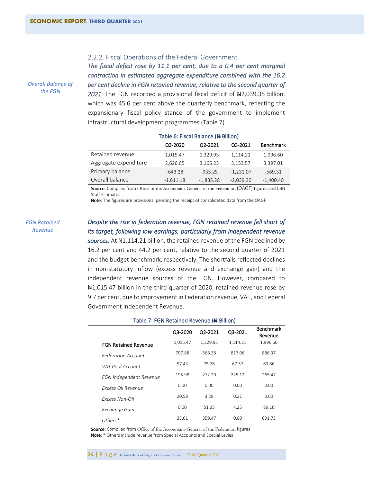# <span id="page-28-0"></span>2.2.2. Fiscal Operations of the Federal Government

*The fiscal deficit rose by 11.1 per cent, due to a 0.4 per cent marginal contraction in estimated aggregate expenditure combined with the 16.2 per cent decline in FGN retained revenue, relative to the second quarter of*  2021. The FGN recorded a provisional fiscal deficit of #2,039.35 billion, which was 45.6 per cent above the quarterly benchmark, reflecting the expansionary fiscal policy stance of the government to implement infrastructural development programmes (Table 7).

<span id="page-28-1"></span>

|                       | TUDIC OF FISCUL DURINTOC (IT DIMONIT |             |             |                  |
|-----------------------|--------------------------------------|-------------|-------------|------------------|
|                       | Q3-2020                              | Q2-2021     | Q3-2021     | <b>Benchmark</b> |
| Retained revenue      | 1,015.47                             | 1,329.95    | 1,114.21    | 1,996.60         |
| Aggregate expenditure | 2,626.65                             | 3,165.23    | 3,153.57    | 3,397.01         |
| Primary balance       | $-643.28$                            | $-935.25$   | $-1,231.07$ | $-569.31$        |
| Overall balance       | $-1,611.18$                          | $-1,835.28$ | $-2,039.36$ | $-1,400.40$      |

#### Table 6: Fiscal Balance (N Billion)

Source: Compiled from Office of the Accountant-General of the Federation (OAGF) figures and CBN Staff Estimates

Note: The figures are provisional pending the receipt of consolidated data from the OAGF

#### *FGN Retained Revenue*

*Overall Balance of the FGN* 

# *Despite the rise in federation revenue, FGN retained revenue fell short of its target, following low earnings, particularly from independent revenue*

sources. At #1,114.21 billion, the retained revenue of the FGN declined by 16.2 per cent and 44.2 per cent, relative to the second quarter of 2021 and the budget benchmark, respectively. The shortfalls reflected declines in non-statutory inflow (excess revenue and exchange gain) and the independent revenue sources of the FGN. However, compared to  $\text{A}1,015.47$  billion in the third quarter of 2020, retained revenue rose by 9.7 per cent, due to improvement in Federation revenue, VAT, and Federal Government Independent Revenue.

|                             | Q3-2020  | Q2-2021  | Q3-2021  | <b>Benchmark</b><br>Revenue |
|-----------------------------|----------|----------|----------|-----------------------------|
| <b>FGN Retained Revenue</b> | 1,015.47 | 1,329.95 | 1,114.21 | 1,996.60                    |
| <b>Federation Account</b>   | 707.88   | 568.38   | 817.06   | 886.37                      |
| VAT Pool Account            | 5743     | 75.26    | 67.57    | 63.86                       |
| FGN Independent Revenue     | 195.98   | 272.20   | 225.12   | 265.47                      |
| Excess Oil Revenue          | 0.00     | 0.00     | 0.00     | 0.00                        |
| <b>Excess Non-Oil</b>       | 20.58    | 3.29     | 0.21     | 0.00                        |
| Exchange Gain               | 0.00     | 51.35    | 4.25     | 89.16                       |
| $O$ thers $*$               | 33.61    | 359.47   | 0.00     | 691 73                      |

#### <span id="page-28-2"></span>Table 7: FGN Retained Revenue (N Billion)

Source: Compiled from Office of the Accountant-General of the Federation figures Note: \* Others include revenue from Special Accounts and Special Levies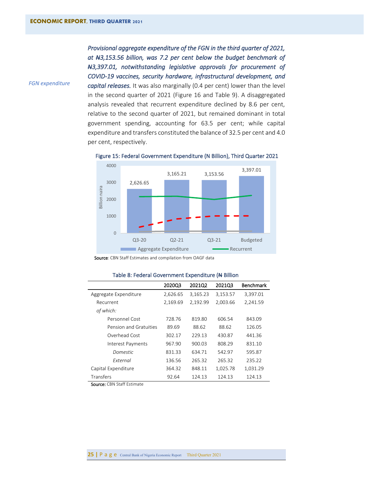*FGN expenditure* 

*Provisional aggregate expenditure of the FGN in the third quarter of 2021, at N3,153.56 billion, was 7.2 per cent below the budget benchmark of N3,397.01, notwithstanding legislative approvals for procurement of COVID-19 vaccines, security hardware, infrastructural development, and capital releases.* It was also marginally (0.4 per cent) lower than the level in the second quarter of 2021 (Figure 16 and Table 9). A disaggregated analysis revealed that recurrent expenditure declined by 8.6 per cent, relative to the second quarter of 2021, but remained dominant in total government spending, accounting for 63.5 per cent; while capital expenditure and transfers constituted the balance of 32.5 per cent and 4.0 per cent, respectively.



<span id="page-29-1"></span>Figure 15: Federal Government Expenditure (N Billion), Third Quarter 2021

Source: CBN Staff Estimates and compilation from OAGF data

|                        | 2020Q3   | 2021Q2   | 2021Q3   | <b>Benchmark</b> |
|------------------------|----------|----------|----------|------------------|
| Aggregate Expenditure  | 2,626.65 | 3,165.23 | 3,153.57 | 3,397.01         |
| Recurrent              | 2,169.69 | 2,192.99 | 2,003.66 | 2,241.59         |
| of which:              |          |          |          |                  |
| Personnel Cost         | 728.76   | 819.80   | 606.54   | 843.09           |
| Pension and Gratuities | 89.69    | 88.62    | 88.62    | 126.05           |
| Overhead Cost          | 302.17   | 229.13   | 430.87   | 441.36           |
| Interest Payments      | 967.90   | 900.03   | 808.29   | 831.10           |
| Domestic               | 831.33   | 634.71   | 542.97   | 595.87           |
| External               | 136.56   | 265.32   | 265.32   | 235.22           |
| Capital Expenditure    | 364.32   | 848.11   | 1,025.78 | 1,031.29         |
|                        |          |          |          |                  |

Transfers 92.64 124.13 124.13 124.13

#### <span id="page-29-0"></span>Table 8: Federal Government Expenditure (N Billion

Source: CBN Staff Estimate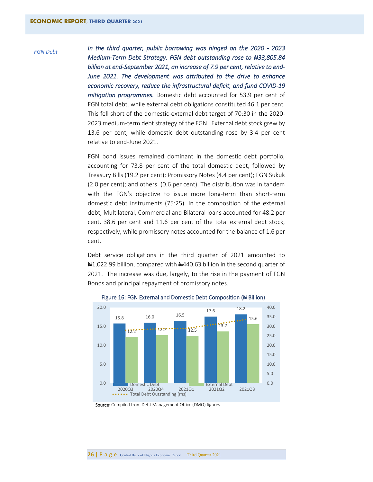#### *FGN Debt*

*In the third quarter, public borrowing was hinged on the 2020 - 2023 Medium-Term Debt Strategy. FGN debt outstanding rose to N33,805.84 billion at end-September 2021, an increase of 7.9 per cent, relative to end-June 2021. The development was attributed to the drive to enhance economic recovery, reduce the infrastructural deficit, and fund COVID-19 mitigation programmes.* Domestic debt accounted for 53.9 per cent of FGN total debt, while external debt obligations constituted 46.1 per cent. This fell short of the domestic-external debt target of 70:30 in the 2020- 2023 medium-term debt strategy of the FGN. External debt stock grew by 13.6 per cent, while domestic debt outstanding rose by 3.4 per cent relative to end-June 2021.

FGN bond issues remained dominant in the domestic debt portfolio, accounting for 73.8 per cent of the total domestic debt, followed by Treasury Bills (19.2 per cent); Promissory Notes (4.4 per cent); FGN Sukuk (2.0 per cent); and others (0.6 per cent). The distribution was in tandem with the FGN's objective to issue more long-term than short-term domestic debt instruments (75:25). In the composition of the external debt, Multilateral, Commercial and Bilateral loans accounted for 48.2 per cent, 38.6 per cent and 11.6 per cent of the total external debt stock, respectively, while promissory notes accounted for the balance of 1.6 per cent.

Debt service obligations in the third quarter of 2021 amounted to N1,022.99 billion, compared with N440.63 billion in the second quarter of 2021. The increase was due, largely, to the rise in the payment of FGN Bonds and principal repayment of promissory notes.



<span id="page-30-0"></span>Figure 16: FGN External and Domestic Debt Composition (# Billion)

Source: Compiled from Debt Management Office (DMO) figures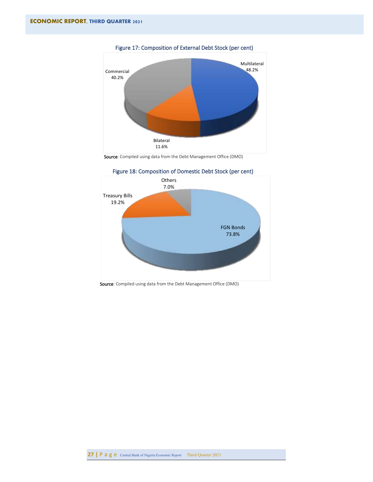

<span id="page-31-0"></span>Figure 17: Composition of External Debt Stock (per cent)





<span id="page-31-1"></span>Figure 18: Composition of Domestic Debt Stock (per cent)

Source: Compiled using data from the Debt Management Office (DMO)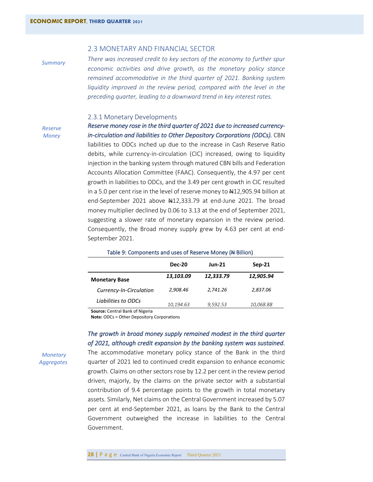# <span id="page-32-0"></span>2.3 MONETARY AND FINANCIAL SECTOR

*Summary*

*There was increased credit to key sectors of the economy to further spur economic activities and drive growth, as the monetary policy stance remained accommodative in the third quarter of 2021. Banking system*  liquidity improved in the review period, compared with the level in the *preceding quarter, leading to a downward trend in key interest rates.* 

# <span id="page-32-1"></span>2.3.1 Monetary Developments

*Reserve Money*

*Reserve money rose in the third quarter of 2021 due to increased currencyin-circulation and liabilities to Other Depository Corporations (ODCs).* CBN liabilities to ODCs inched up due to the increase in Cash Reserve Ratio debits, while currency-in-circulation (CIC) increased, owing to liquidity injection in the banking system through matured CBN bills and Federation Accounts Allocation Committee (FAAC). Consequently, the 4.97 per cent growth in liabilities to ODCs, and the 3.49 per cent growth in CIC resulted in a 5.0 per cent rise in the level of reserve money to  $\frac{412,905.94}{21}$  billion at end-September 2021 above  $\frac{12}{333.79}$  at end-June 2021. The broad money multiplier declined by 0.06 to 3.13 at the end of September 2021, suggesting a slower rate of monetary expansion in the review period. Consequently, the Broad money supply grew by 4.63 per cent at end-September 2021.

|                         | <b>Dec-20</b> | <b>Jun-21</b> | $Sep-21$  |
|-------------------------|---------------|---------------|-----------|
| <b>Monetary Base</b>    | 13,103.09     | 12,333.79     | 12,905.94 |
| Currency-In-Circulation | 2,908.46      | 2,741.26      | 2,837.06  |
| Liabilities to ODCs     | 10,194.63     | 9,592.53      | 10,068.88 |

# <span id="page-32-2"></span>Table 9: Components and uses of Reserve Money (# Billion)

**Source:** Central Bank of Nigeria

**Note:** ODCs = Other Depository Corporations

# *The growth in broad money supply remained modest in the third quarter of 2021, although credit expansion by the banking system was sustained.*

*Monetary Aggregates* The accommodative monetary policy stance of the Bank in the third quarter of 2021 led to continued credit expansion to enhance economic growth. Claims on other sectors rose by 12.2 per cent in the review period driven, majorly, by the claims on the private sector with a substantial contribution of 9.4 percentage points to the growth in total monetary assets. Similarly, Net claims on the Central Government increased by 5.07 per cent at end-September 2021, as loans by the Bank to the Central Government outweighed the increase in liabilities to the Central Government.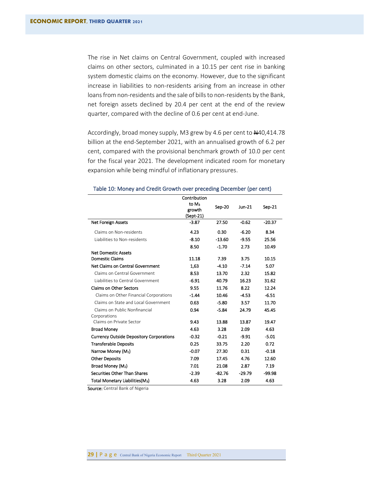The rise in Net claims on Central Government, coupled with increased claims on other sectors, culminated in a 10.15 per cent rise in banking system domestic claims on the economy. However, due to the significant increase in liabilities to non-residents arising from an increase in other loans from non-residents and the sale of bills to non-residents by the Bank, net foreign assets declined by 20.4 per cent at the end of the review quarter, compared with the decline of 0.6 per cent at end-June.

Accordingly, broad money supply, M3 grew by 4.6 per cent to  $\text{A}40,414.78$ billion at the end-September 2021, with an annualised growth of 6.2 per cent, compared with the provisional benchmark growth of 10.0 per cent for the fiscal year 2021. The development indicated room for monetary expansion while being mindful of inflationary pressures.

|                                                 | Contribution      |          |          |          |
|-------------------------------------------------|-------------------|----------|----------|----------|
|                                                 | to M <sub>3</sub> |          |          |          |
|                                                 | Sep-20<br>growth  |          | Jun-21   | Sep-21   |
|                                                 | (Sept-21)         |          |          |          |
| <b>Net Foreign Assets</b>                       | $-3.87$           | 27.50    | $-0.62$  | $-20.37$ |
| Claims on Non-residents                         | 4.23              | 0.30     | $-6.20$  | 8.34     |
| Liabilities to Non-residents                    | $-8.10$           | $-13.60$ | $-9.55$  | 25.56    |
|                                                 | 8.50              | $-1.70$  | 2.73     | 10.49    |
| <b>Net Domestic Assets</b>                      |                   |          |          |          |
| <b>Domestic Claims</b>                          | 11.18             | 7.39     | 3.75     | 10.15    |
| Net Claims on Central Government                | 1,63              | $-4.10$  | $-7.14$  | 5.07     |
| Claims on Central Government                    | 8.53              | 13.70    | 2.32     | 15.82    |
| Liabilities to Central Government               | $-6.91$           | 40.79    | 16.23    | 31.62    |
| <b>Claims on Other Sectors</b>                  | 9.55              | 11.76    | 8.22     | 12.24    |
| Claims on Other Financial Corporations          | $-1.44$           | 10.46    | $-4.53$  | $-6.51$  |
| Claims on State and Local Government            | 0.63              | $-5.80$  | 3.57     | 11.70    |
| Claims on Public Nonfinancial                   | 0.94              | $-5.84$  | 24.79    | 45.45    |
| Corporations                                    |                   |          |          |          |
| Claims on Private Sector                        | 9.43              | 13.88    | 13.87    | 19.47    |
| <b>Broad Money</b>                              | 4.63              | 3.28     | 2.09     | 4.63     |
| <b>Currency Outside Depository Corporations</b> | $-0.32$           | $-0.21$  | $-9.91$  | $-5.01$  |
| <b>Transferable Deposits</b>                    | 0.25              | 33.75    | 2.20     | 0.72     |
| Narrow Money (M <sub>1</sub> )                  | $-0.07$           | 27.30    | 0.31     | $-0.18$  |
| <b>Other Deposits</b>                           | 7.09              | 17.45    | 4.76     | 12.60    |
| Broad Money (M2)                                | 7.01              | 21.08    | 2.87     | 7.19     |
| Securities Other Than Shares                    | $-2.39$           | $-82.76$ | $-29.79$ | -99.98   |
| Total Monetary Liabilities(M <sub>3</sub> )     | 4.63              | 3.28     | 2.09     | 4.63     |

#### <span id="page-33-0"></span>Table 10: Money and Credit Growth over preceding December (per cent)

Source: Central Bank of Nigeria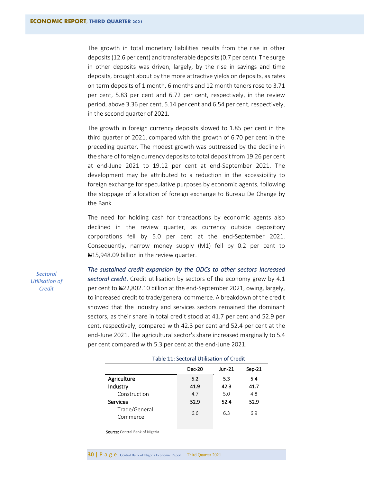The growth in total monetary liabilities results from the rise in other deposits (12.6 per cent) and transferable deposits (0.7 per cent). The surge in other deposits was driven, largely, by the rise in savings and time deposits, brought about by the more attractive yields on deposits, as rates on term deposits of 1 month, 6 months and 12 month tenors rose to 3.71 per cent, 5.83 per cent and 6.72 per cent, respectively, in the review period, above 3.36 per cent, 5.14 per cent and 6.54 per cent, respectively, in the second quarter of 2021.

The growth in foreign currency deposits slowed to 1.85 per cent in the third quarter of 2021, compared with the growth of 6.70 per cent in the preceding quarter. The modest growth was buttressed by the decline in the share of foreign currency deposits to total deposit from 19.26 per cent at end-June 2021 to 19.12 per cent at end-September 2021. The development may be attributed to a reduction in the accessibility to foreign exchange for speculative purposes by economic agents, following the stoppage of allocation of foreign exchange to Bureau De Change by the Bank.

The need for holding cash for transactions by economic agents also declined in the review quarter, as currency outside depository corporations fell by 5.0 per cent at the end-September 2021. Consequently, narrow money supply (M1) fell by 0.2 per cent to N<sub>15</sub>,948.09 billion in the review quarter.

*Sectoral Utilisation of Credit*

*The sustained credit expansion by the ODCs to other sectors increased sectoral credit*. Credit utilisation by sectors of the economy grew by 4.1 per cent to N22,802.10 billion at the end-September 2021, owing, largely, to increased credit to trade/general commerce. A breakdown of the credit showed that the industry and services sectors remained the dominant sectors, as their share in total credit stood at 41.7 per cent and 52.9 per cent, respectively, compared with 42.3 per cent and 52.4 per cent at the end-June 2021. The agricultural sector's share increased marginally to 5.4 per cent compared with 5.3 per cent at the end-June 2021.

<span id="page-34-0"></span>

|                           | <b>Dec-20</b> | Jun-21 | $Sep-21$ |
|---------------------------|---------------|--------|----------|
| Agriculture               | 5.2           | 5.3    | 5.4      |
| Industry                  | 41.9          | 42.3   | 41.7     |
| Construction              | 4.7           | 5.0    | 4.8      |
| Services                  | 52.9          | 52.4   | 52.9     |
| Trade/General<br>Commerce | 6.6           | 6.3    | 6.9      |

#### Table 11: Sectoral Utilisation of Credit

Source: Central Bank of Nigeria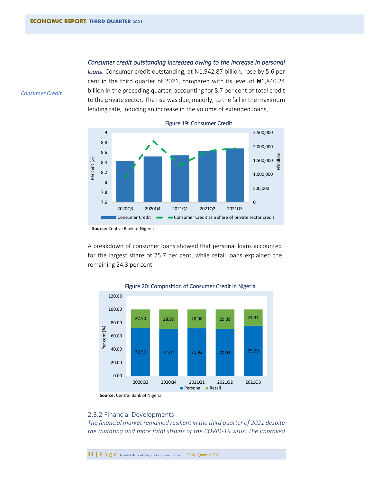*Consumer Credit*

#### *Consumer credit outstanding increased owing to the increase in personal*

*loans*. Consumer credit outstanding, at  $\text{N1},942.87$  billion, rose by 5.6 per cent in the third quarter of 2021, compared with its level of #1,840.24 billion in the preceding quarter, accounting for 8.7 per cent of total credit to the private sector. The rise was due, majorly, to the fall in the maximum lending rate, inducing an increase in the volume of extended loans.

<span id="page-35-1"></span>

Figure 19: Consumer Credit

A breakdown of consumer loans showed that personal loans accounted for the largest share of 75.7 per cent, while retail loans explained the remaining 24.3 per cent.



<span id="page-35-2"></span>Figure 20: Composition of Consumer Credit in Nigeria

# <span id="page-35-0"></span>2.3.2 Financial Developments

*The financial market remained resilient in the third quarter of 2021 despite the mutating and more fatal strains of the COVID-19 virus. The improved* 

**31** | **P** a g **e** Central Bank of Nigeria Economic Report Third Quarter 2021

**Source:** Central Bank of Nigeria

**Source:** Central Bank of Nigeria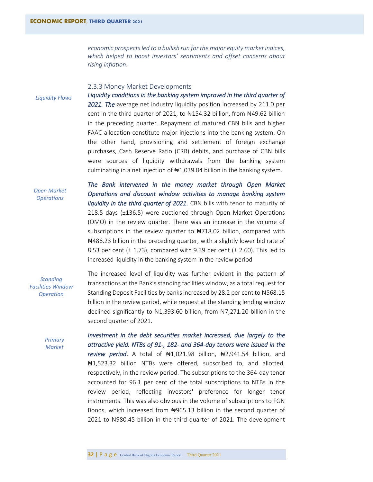*economic prospects led to a bullish run for the major equity market indices, which helped to boost investors' sentiments and offset concerns about rising inflation*.

#### <span id="page-36-0"></span>2.3.3 Money Market Developments

*Liquidity Flows*

*Liquidity conditions in the banking system improved in the third quarter of 2021. The* average net industry liquidity position increased by 211.0 per cent in the third quarter of 2021, to  $\#154.32$  billion, from  $\#49.62$  billion in the preceding quarter. Repayment of matured CBN bills and higher FAAC allocation constitute major injections into the banking system. On the other hand, provisioning and settlement of foreign exchange purchases, Cash Reserve Ratio (CRR) debits, and purchase of CBN bills were sources of liquidity withdrawals from the banking system culminating in a net injection of  $\#1,039.84$  billion in the banking system.

#### *Open Market Operations*

*The Bank intervened in the money market through Open Market Operations and discount window activities to manage banking system liquidity in the third quarter of 2021.* CBN bills with tenor to maturity of 218.5 days (±136.5) were auctioned through Open Market Operations (OMO) in the review quarter. There was an increase in the volume of subscriptions in the review quarter to  $\#718.02$  billion, compared with ₦486.23 billion in the preceding quarter, with a slightly lower bid rate of 8.53 per cent ( $\pm$  1.73), compared with 9.39 per cent ( $\pm$  2.60). This led to increased liquidity in the banking system in the review period

# *Standing Facilities Window Operation*

The increased level of liquidity was further evident in the pattern of transactions at the Bank's standing facilities window, as a total request for Standing Deposit Facilities by banks increased by 28.2 per cent to #568.15 billion in the review period, while request at the standing lending window declined significantly to ₦1,393.60 billion, from ₦7,271.20 billion in the second quarter of 2021.

*Primary Market*

*Investment in the debt securities market increased, due largely to the attractive yield. NTBs of 91-, 182- and 364-day tenors were issued in the review period*. A total of ₦1,021.98 billion, ₦2,941.54 billion, and ₦1,523.32 billion NTBs were offered, subscribed to, and allotted, respectively, in the review period. The subscriptions to the 364-day tenor accounted for 96.1 per cent of the total subscriptions to NTBs in the review period, reflecting investors' preference for longer tenor instruments. This was also obvious in the volume of subscriptions to FGN Bonds, which increased from ₦965.13 billion in the second quarter of 2021 to ₦980.45 billion in the third quarter of 2021. The development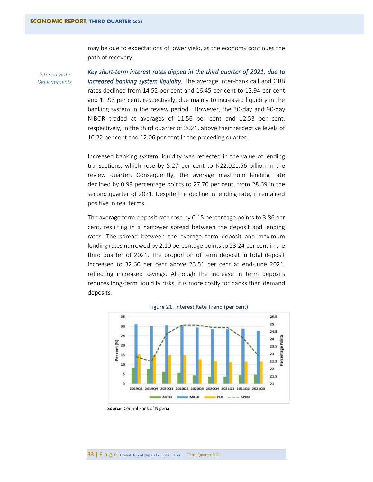may be due to expectations of lower yield, as the economy continues the path of recovery.

*Interest Rate Developments* *Key short-term interest rates dipped in the third quarter of 2021, due to increased banking system liquidity.* The average inter-bank call and OBB rates declined from 14.52 per cent and 16.45 per cent to 12.94 per cent and 11.93 per cent, respectively, due mainly to increased liquidity in the banking system in the review period. However, the 30-day and 90-day NIBOR traded at averages of 11.56 per cent and 12.53 per cent, respectively, in the third quarter of 2021, above their respective levels of 10.22 per cent and 12.06 per cent in the preceding quarter.

Increased banking system liquidity was reflected in the value of lending transactions, which rose by 5.27 per cent to  $\text{A}22,021.56$  billion in the review quarter. Consequently, the average maximum lending rate declined by 0.99 percentage points to 27.70 per cent, from 28.69 in the second quarter of 2021. Despite the decline in lending rate, it remained positive in real terms.

The average term-deposit rate rose by 0.15 percentage points to 3.86 per cent, resulting in a narrower spread between the deposit and lending rates. The spread between the average term deposit and maximum lending rates narrowed by 2.10 percentage points to 23.24 per cent in the third quarter of 2021. The proportion of term deposit in total deposit increased to 32.66 per cent above 23.51 per cent at end-June 2021, reflecting increased savings. Although the increase in term deposits reduces long-term liquidity risks, it is more costly for banks than demand deposits.

<span id="page-37-0"></span>



 **Source**: Central Bank of Nigeria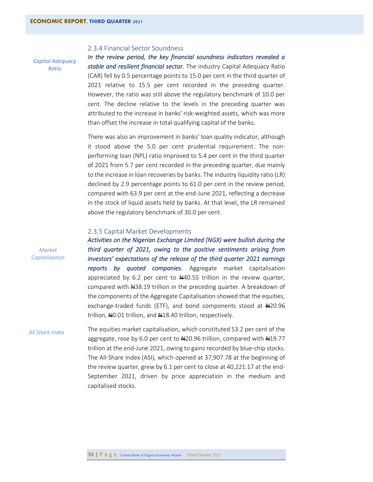#### <span id="page-38-0"></span>2.3.4 Financial Sector Soundness

*Capital Adequacy Ratio*

*In the review period, the key financial soundness indicators revealed a stable and resilient financial sector.* The industry Capital Adequacy Ratio (CAR) fell by 0.5 percentage points to 15.0 per cent in the third quarter of 2021 relative to 15.5 per cent recorded in the preceding quarter. However, the ratio was still above the regulatory benchmark of 10.0 per cent. The decline relative to the levels in the preceding quarter was attributed to the increase in banks' risk-weighted assets, which was more than offset the increase in total qualifying capital of the banks*.*

There was also an improvement in banks' loan quality indicator, although it stood above the 5.0 per cent prudential requirement. The nonperforming loan (NPL) ratio improved to 5.4 per cent in the third quarter of 2021 from 5.7 per cent recorded in the preceding quarter, due mainly to the increase in loan recoveries by banks. The industry liquidity ratio (LR) declined by 2.9 percentage points to 61.0 per cent in the review period, compared with 63.9 per cent at the end-June 2021, reflecting a decrease in the stock of liquid assets held by banks. At that level, the LR remained above the regulatory benchmark of 30.0 per cent.

#### <span id="page-38-1"></span>2.3.5 Capital Market Developments

*Activities on the Nigerian Exchange Limited (NGX) were bullish during the third quarter of 2021, owing to the positive sentiments arising from investors' expectations of the release of the third quarter 2021 earnings reports by quoted companies.* Aggregate market capitalisation appreciated by 6.2 per cent to  $#40.55$  trillion in the review quarter, compared with 438.19 trillion in the preceding quarter. A breakdown of the components of the Aggregate Capitalisation showed that the equities, exchange-traded funds (ETF), and bond components stood at #20.96 trillion, NO.01 trillion, and N18.40 trillion, respectively.

The equities market capitalisation, which constituted 53.2 per cent of the aggregate, rose by 6.0 per cent to  $\frac{1}{20.96}$  trillion, compared with  $\frac{10.77}{10.76}$ trillion at the end-June 2021, owing to gains recorded by blue-chip stocks. The All-Share Index (ASI), which opened at 37,907.78 at the beginning of the review quarter, grew by 6.1 per cent to close at 40,221.17 at the end-September 2021, driven by price appreciation in the medium and capitalised stocks. *All Share Index*

*Market Capitalisation*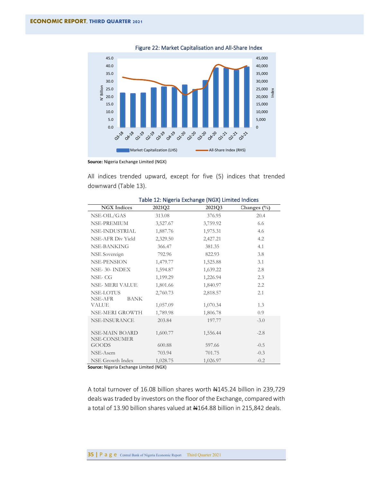<span id="page-39-1"></span>

Figure 22: Market Capitalisation and All-Share Index

**Source:** Nigeria Exchange Limited (NGX)

All indices trended upward, except for five (5) indices that trended downward (Table 13).

<span id="page-39-0"></span>

| <b>NGX</b> Indices             | 2021Q2   | apic in mga ia changa (non) cinnea malao<br>2021Q3 | Changes $(\%)$ |
|--------------------------------|----------|----------------------------------------------------|----------------|
| NSE-OIL/GAS                    | 313.08   | 376.95                                             | 20.4           |
| NSE-PREMIUM                    | 3,527.67 | 3,759.92                                           | 6.6            |
| NSE-INDUSTRIAL                 | 1,887.76 | 1,975.31                                           | 4.6            |
| NSE-AFR Div Yield              | 2,329.50 | 2,427.21                                           | 4.2            |
| NSE-BANKING                    | 366.47   | 381.35                                             | 4.1            |
| NSE Sovereign                  | 792.96   | 822.93                                             | 3.8            |
| <b>NSE-PENSION</b>             | 1,479.77 | 1,525.88                                           | 3.1            |
| NSE-30-INDEX                   | 1,594.87 | 1,639.22                                           | 2.8            |
| NSE-CG                         | 1,199.29 | 1,226.94                                           | 2.3            |
| <b>NSE-MERI VALUE</b>          | 1,801.66 | 1,840.97                                           | 2.2            |
| NSE-LOTUS                      | 2,760.73 | 2,818.57                                           | 2.1            |
| NSE-AFR<br><b>BANK</b>         |          |                                                    |                |
| VALUE                          | 1,057.09 | 1,070.34                                           | 1.3            |
| NSE-MERI GROWTH                | 1,789.98 | 1,806.78                                           | 0.9            |
| NSE-INSURANCE                  | 203.84   | 197.77                                             | $-3.0$         |
| NSE-MAIN BOARD<br>NSE-CONSUMER | 1,600.77 | 1,556.44                                           | $-2.8$         |
| <b>GOODS</b>                   | 600.88   | 597.66                                             | $-0.5$         |
| NSE-Asem                       | 703.94   | 701.75                                             | $-0.3$         |
| NSE Growth Index               | 1,028.75 | 1,026.97                                           | $-0.2$         |

#### Table 12: Nigeria Exchange (NGX) Limited Indices

**Source:** Nigeria Exchange Limited (NGX)

A total turnover of 16.08 billion shares worth #145.24 billion in 239,729 deals was traded by investors on the floor of the Exchange, compared with a total of 13.90 billion shares valued at #164.88 billion in 215,842 deals.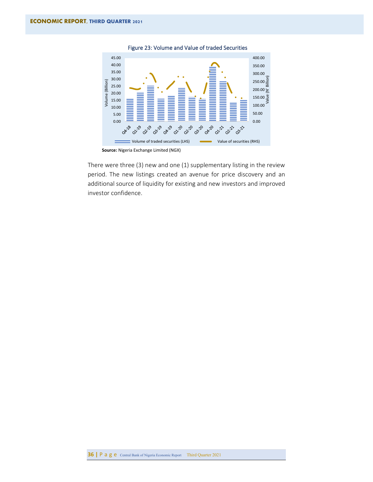

<span id="page-40-0"></span>Figure 23: Volume and Value of traded Securities

There were three (3) new and one (1) supplementary listing in the review period. The new listings created an avenue for price discovery and an additional source of liquidity for existing and new investors and improved investor confidence.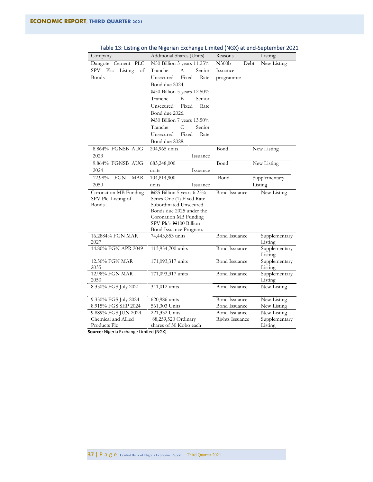| Company                   | Additional Shares (Units)                        | Reasons              | Listing                  |
|---------------------------|--------------------------------------------------|----------------------|--------------------------|
| Dangote Cement PLC        | N50 Billion 3 years 11.25%                       | $\mu$ 300b<br>Debt   | New Listing              |
| SPV Plc:<br>Listing<br>оf | Senior<br>Tranche<br>A                           | Issuance             |                          |
| Bonds                     | Fixed<br>Unsecured<br>Rate                       | programme            |                          |
|                           | Bond due 2024                                    |                      |                          |
|                           | N50 Billion 5 years 12.50%                       |                      |                          |
|                           | Tranche<br>B<br>Senior                           |                      |                          |
|                           | Unsecured<br>Fixed<br>Rate                       |                      |                          |
|                           | Bond due 2026.                                   |                      |                          |
|                           | ¥50 Billion 7 years 13.50%                       |                      |                          |
|                           | Tranche<br>C<br>Senior                           |                      |                          |
|                           | Unsecured<br>Fixed<br>Rate                       |                      |                          |
|                           | Bond due 2028.                                   |                      |                          |
| 8.864% FGNSB AUG          | 204,965 units                                    | Bond                 | New Listing              |
| 2023                      | Issuance                                         |                      |                          |
| 9.864% FGNSB AUG          | 683,248,000                                      | Bond                 | New Listing              |
| 2024                      | units<br>Issuance                                |                      |                          |
| 12.98%<br>FGN<br>MAR      | 104,814,900                                      | Bond                 | Supplementary            |
| 2050                      | units<br>Issuance                                |                      | Listing                  |
| Coronation MB Funding     | N25 Billion 5 years 6.25%                        | <b>Bond Issuance</b> | New Listing              |
| SPV Plc: Listing of       | Series One (1) Fixed Rate                        |                      |                          |
| <b>Bonds</b>              | Subordinated Unsecured                           |                      |                          |
|                           | Bonds due 2025 under the                         |                      |                          |
|                           | Coronation MB Funding                            |                      |                          |
|                           | SPV Plc's N100 Billion<br>Bond Issuance Program. |                      |                          |
| 16.2884% FGN MAR          | 74,443,853 units                                 | <b>Bond Issuance</b> | Supplementary            |
| 2027                      |                                                  |                      | Listing                  |
| 14.80% FGN APR 2049       | 113,954,700 units                                | <b>Bond Issuance</b> | Supplementary            |
|                           |                                                  |                      | Listing                  |
| 12.50% FGN MAR            | 171,093,317 units                                | <b>Bond Issuance</b> | Supplementary            |
| 2035                      |                                                  |                      | Listing                  |
| 12.98% FGN MAR            | 171,093,317 units                                | <b>Bond Issuance</b> | Supplementary<br>Listing |
| 2050                      | 341,012 units                                    | <b>Bond Issuance</b> | New Listing              |
| 8.350% FGS July 2021      |                                                  |                      |                          |
| 9.350% FGS July 2024      | 620,986 units                                    | <b>Bond Issuance</b> | New Listing              |
| 8.915% FGS SEP 2024       | 561,303 Units                                    | <b>Bond Issuance</b> | New Listing              |
| 9.889% FGS JUN 2024       | 221,332 Units                                    | <b>Bond Issuance</b> | New Listing              |
| Chemical and Allied       | 88,259,520 Ordinary                              | Rights Issuance      | Supplementary            |
| Products Plc              | shares of 50 Kobo each                           |                      | Listing                  |

<span id="page-41-0"></span>Table 13: Listing on the Nigerian Exchange Limited (NGX) at end-September 2021

**Source:** Nigeria Exchange Limited (NGX).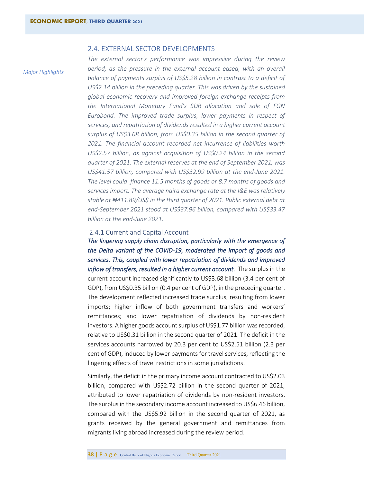### <span id="page-42-0"></span>2.4. EXTERNAL SECTOR DEVELOPMENTS

*Major Highlights*

*The external sector's performance was impressive during the review period, as the pressure in the external account eased, with an overall balance of payments surplus of US\$5.28 billion in contrast to a deficit of US\$2.14 billion in the preceding quarter. This was driven by the sustained global economic recovery and improved foreign exchange receipts from the International Monetary Fund's SDR allocation and sale of FGN Eurobond. The improved trade surplus, lower payments in respect of services, and repatriation of dividends resulted in a higher current account surplus of US\$3.68 billion, from US\$0.35 billion in the second quarter of 2021. The financial account recorded net incurrence of liabilities worth US\$2.57 billion, as against acquisition of US\$0.24 billion in the second quarter of 2021. The external reserves at the end of September 2021, was US\$41.57 billion, compared with US\$32.99 billion at the end-June 2021. The level could finance 11.5 months of goods or 8.7 months of goods and services import. The average naira exchange rate at the I&E was relatively stable at ₦411.89/US\$ in the third quarter of 2021. Public external debt at end-September 2021 stood at US\$37.96 billion, compared with US\$33.47 billion at the end-June 2021.*

# <span id="page-42-1"></span>2.4.1 Current and Capital Account

*The lingering supply chain disruption, particularly with the emergence of the Delta variant of the COVID-19, moderated the import of goods and services. This, coupled with lower repatriation of dividends and improved inflow of transfers, resulted in a higher current account.* The surplus in the current account increased significantly to US\$3.68 billion (3.4 per cent of GDP), from US\$0.35 billion (0.4 per cent of GDP), in the preceding quarter. The development reflected increased trade surplus, resulting from lower imports; higher inflow of both government transfers and workers' remittances; and lower repatriation of dividends by non-resident investors. A higher goods account surplus of US\$1.77 billion was recorded, relative to US\$0.31 billion in the second quarter of 2021. The deficit in the services accounts narrowed by 20.3 per cent to US\$2.51 billion (2.3 per cent of GDP), induced by lower payments for travel services, reflecting the lingering effects of travel restrictions in some jurisdictions.

Similarly, the deficit in the primary income account contracted to US\$2.03 billion, compared with US\$2.72 billion in the second quarter of 2021, attributed to lower repatriation of dividends by non-resident investors. The surplus in the secondary income account increased to US\$6.46 billion, compared with the US\$5.92 billion in the second quarter of 2021, as grants received by the general government and remittances from migrants living abroad increased during the review period.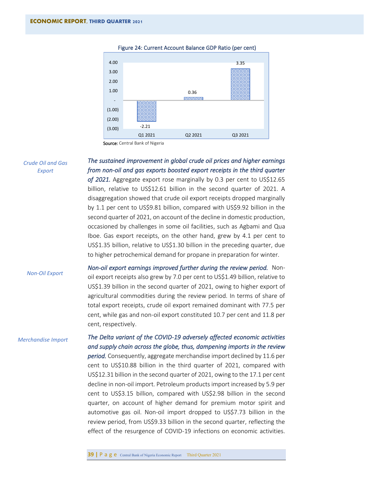

<span id="page-43-0"></span>Figure 24: Current Account Balance GDP Ratio (per cent)

Source: Central Bank of Nigeria

*Crude Oil and Gas Export*

*The sustained improvement in global crude oil prices and higher earnings from non-oil and gas exports boosted export receipts in the third quarter*  of 2021. Aggregate export rose marginally by 0.3 per cent to US\$12.65 billion, relative to US\$12.61 billion in the second quarter of 2021. A

disaggregation showed that crude oil export receipts dropped marginally by 1.1 per cent to US\$9.81 billion, compared with US\$9.92 billion in the second quarter of 2021, on account of the decline in domestic production, occasioned by challenges in some oil facilities, such as Agbami and Qua Iboe. Gas export receipts, on the other hand, grew by 4.1 per cent to US\$1.35 billion, relative to US\$1.30 billion in the preceding quarter, due to higher petrochemical demand for propane in preparation for winter.

*Non-Oil Export*

*Non-oil export earnings improved further during the review period.* Nonoil export receipts also grew by 7.0 per cent to US\$1.49 billion, relative to US\$1.39 billion in the second quarter of 2021, owing to higher export of agricultural commodities during the review period. In terms of share of total export receipts, crude oil export remained dominant with 77.5 per cent, while gas and non-oil export constituted 10.7 per cent and 11.8 per cent, respectively.

*Merchandise Import*

# *The Delta variant of the COVID-19 adversely affected economic activities and supply chain across the globe, thus, dampening imports in the review*

*period.* Consequently, aggregate merchandise import declined by 11.6 per cent to US\$10.88 billion in the third quarter of 2021, compared with US\$12.31 billion in the second quarter of 2021, owing to the 17.1 per cent decline in non-oil import. Petroleum products import increased by 5.9 per cent to US\$3.15 billion, compared with US\$2.98 billion in the second quarter, on account of higher demand for premium motor spirit and automotive gas oil. Non-oil import dropped to US\$7.73 billion in the review period, from US\$9.33 billion in the second quarter, reflecting the effect of the resurgence of COVID-19 infections on economic activities.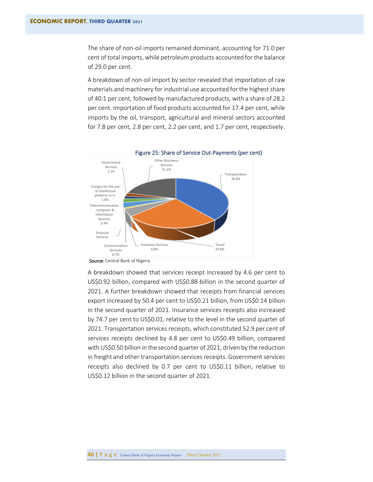The share of non-oil imports remained dominant, accounting for 71.0 per cent of total imports, while petroleum products accounted for the balance of 29.0 per cent.

A breakdown of non-oil import by sector revealed that importation of raw materials and machinery for industrial use accounted for the highest share of 40.1 per cent, followed by manufactured products, with a share of 28.2 per cent. Importation of food products accounted for 17.4 per cent, while imports by the oil, transport, agricultural and mineral sectors accounted for 7.8 per cent, 2.8 per cent, 2.2 per cent, and 1.7 per cent, respectively.

<span id="page-44-0"></span>

Figure 25: Share of Service Out-Payments (per cent)

A breakdown showed that services receipt increased by 4.6 per cent to US\$0.92 billion, compared with US\$0.88 billion in the second quarter of 2021. A further breakdown showed that receipts from financial services export increased by 50.4 per cent to US\$0.21 billion, from US\$0.14 billion in the second quarter of 2021. Insurance services receipts also increased by 74.7 per cent to US\$0.01, relative to the level in the second quarter of 2021. Transportation services receipts, which constituted 52.9 per cent of services receipts declined by 4.8 per cent to US\$0.49 billion, compared with US\$0.50 billion in the second quarter of 2021, driven by the reduction in freight and other transportation services receipts. Government services receipts also declined by 0.7 per cent to US\$0.11 billion, relative to US\$0.12 billion in the second quarter of 2021.

Source: Central Bank of Nigeria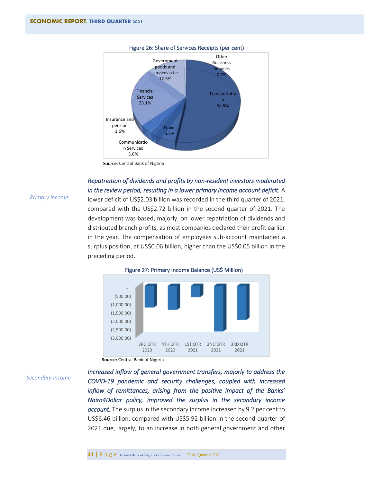

#### <span id="page-45-0"></span>Figure 26: Share of Services Receipts (per cent)

Source: Central Bank of Nigeria

# *Repatriation of dividends and profits by non-resident investors moderated in the review period, resulting in a lower primary income account deficit.* A

lower deficit of US\$2.03 billion was recorded in the third quarter of 2021, compared with the US\$2.72 billion in the second quarter of 2021. The development was based, majorly, on lower repatriation of dividends and distributed branch profits, as most companies declared their profit earlier in the year. The compensation of employees sub-account maintained a surplus position, at US\$0.06 billion, higher than the US\$0.05 billion in the

*Primary Income*



#### <span id="page-45-1"></span>Figure 27: Primary Income Balance (US\$ Million)

preceding period.

#### *Secondary Income*

*Increased inflow of general government transfers, majorly to address the COVID-19 pandemic and security challenges, coupled with increased inflow of remittances, arising from the positive impact of the Banks' Naira4Dollar policy, improved the surplus in the secondary income account.* The surplus in the secondary income increased by 9.2 per cent to US\$6.46 billion, compared with US\$5.92 billion in the second quarter of 2021 due, largely, to an increase in both general government and other

**Source:** Central Bank of Nigeria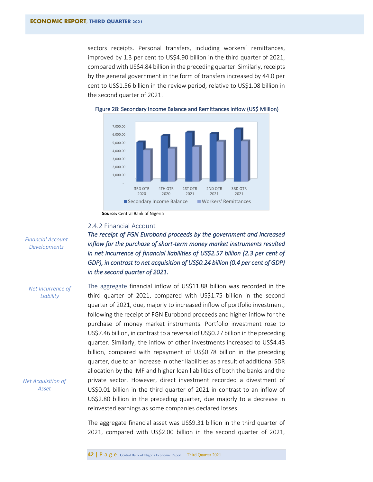sectors receipts. Personal transfers, including workers' remittances, improved by 1.3 per cent to US\$4.90 billion in the third quarter of 2021, compared with US\$4.84 billion in the preceding quarter. Similarly, receipts by the general government in the form of transfers increased by 44.0 per cent to US\$1.56 billion in the review period, relative to US\$1.08 billion in the second quarter of 2021.



#### <span id="page-46-1"></span>Figure 28: Secondary Income Balance and Remittances Inflow (US\$ Million)

 **Source:** Central Bank of Nigeria

# <span id="page-46-0"></span>2.4.2 Financial Account

*The receipt of FGN Eurobond proceeds by the government and increased inflow for the purchase of short-term money market instruments resulted in net incurrence of financial liabilities of US\$2.57 billion (2.3 per cent of GDP), in contrast to net acquisition of US\$0.24 billion (0.4 per cent of GDP) in the second quarter of 2021.* 

The aggregate financial inflow of US\$11.88 billion was recorded in the third quarter of 2021, compared with US\$1.75 billion in the second quarter of 2021, due, majorly to increased inflow of portfolio investment, following the receipt of FGN Eurobond proceeds and higher inflow for the purchase of money market instruments. Portfolio investment rose to US\$7.46 billion, in contrast to a reversal of US\$0.27 billion in the preceding quarter. Similarly, the inflow of other investments increased to US\$4.43 billion, compared with repayment of US\$0.78 billion in the preceding quarter, due to an increase in other liabilities as a result of additional SDR allocation by the IMF and higher loan liabilities of both the banks and the private sector. However, direct investment recorded a divestment of US\$0.01 billion in the third quarter of 2021 in contrast to an inflow of US\$2.80 billion in the preceding quarter, due majorly to a decrease in reinvested earnings as some companies declared losses.

The aggregate financial asset was US\$9.31 billion in the third quarter of 2021, compared with US\$2.00 billion in the second quarter of 2021,

*Financial Account Developments*

*Net Incurrence of Liability*

*Net Acquisition of Asset*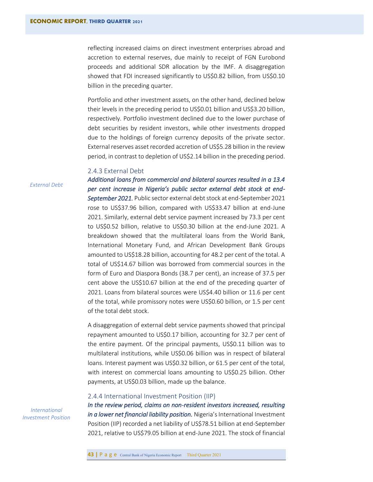reflecting increased claims on direct investment enterprises abroad and accretion to external reserves, due mainly to receipt of FGN Eurobond proceeds and additional SDR allocation by the IMF. A disaggregation showed that FDI increased significantly to US\$0.82 billion, from US\$0.10 billion in the preceding quarter.

Portfolio and other investment assets, on the other hand, declined below their levels in the preceding period to US\$0.01 billion and US\$3.20 billion, respectively. Portfolio investment declined due to the lower purchase of debt securities by resident investors, while other investments dropped due to the holdings of foreign currency deposits of the private sector. External reserves asset recorded accretion of US\$5.28 billion in the review period, in contrast to depletion of US\$2.14 billion in the preceding period.

# <span id="page-47-0"></span>2.4.3 External Debt

*External Debt*

*Additional loans from commercial and bilateral sources resulted in a 13.4 per cent increase in Nigeria's public sector external debt stock at end-September 2021.* Public sector external debt stock at end-September 2021 rose to US\$37.96 billion, compared with US\$33.47 billion at end-June 2021. Similarly, external debt service payment increased by 73.3 per cent to US\$0.52 billion, relative to US\$0.30 billion at the end-June 2021. A breakdown showed that the multilateral loans from the World Bank, International Monetary Fund, and African Development Bank Groups amounted to US\$18.28 billion, accounting for 48.2 per cent of the total. A total of US\$14.67 billion was borrowed from commercial sources in the form of Euro and Diaspora Bonds (38.7 per cent), an increase of 37.5 per cent above the US\$10.67 billion at the end of the preceding quarter of 2021. Loans from bilateral sources were US\$4.40 billion or 11.6 per cent of the total, while promissory notes were US\$0.60 billion, or 1.5 per cent of the total debt stock.

A disaggregation of external debt service payments showed that principal repayment amounted to US\$0.17 billion, accounting for 32.7 per cent of the entire payment. Of the principal payments, US\$0.11 billion was to multilateral institutions, while US\$0.06 billion was in respect of bilateral loans. Interest payment was US\$0.32 billion, or 61.5 per cent of the total, with interest on commercial loans amounting to US\$0.25 billion. Other payments, at US\$0.03 billion, made up the balance.

#### <span id="page-47-1"></span>2.4.4 International Investment Position (IIP)

*In the review period, claims on non-resident investors increased, resulting in a lower net financial liability position.* Nigeria's International Investment Position (IIP) recorded a net liability of US\$78.51 billion at end-September 2021, relative to US\$79.05 billion at end-June 2021. The stock of financial

*International Investment Position*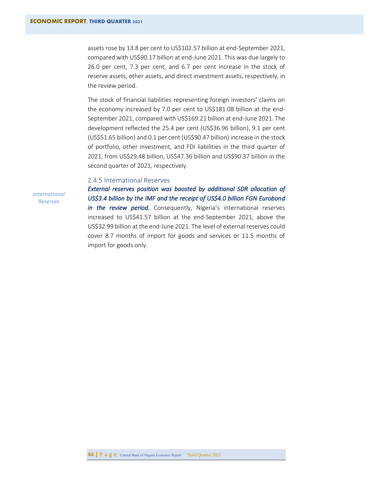assets rose by 13.8 per cent to US\$102.57 billion at end-September 2021, compared with US\$90.17 billion at end-June 2021. This was due largely to 26.0 per cent, 7.3 per cent, and 6.7 per cent increase in the stock of reserve assets, other assets, and direct investment assets, respectively, in the review period.

The stock of financial liabilities representing foreign investors' claims on the economy increased by 7.0 per cent to US\$181.08 billion at the end-September 2021, compared with US\$169.21 billion at end-June 2021. The development reflected the 25.4 per cent (US\$36.96 billion), 9.1 per cent (US\$51.65 billion) and 0.1 per cent (US\$90.47 billion) increase in the stock of portfolio, other investment, and FDI liabilities in the third quarter of 2021, from US\$29.48 billion, US\$47.36 billion and US\$90.37 billion in the second quarter of 2021, respectively.

# <span id="page-48-0"></span>2.4.5 International Reserves

*International Reserves*

*External reserves position was boosted by additional SDR allocation of US\$3.4 billion by the IMF and the receipt of US\$4.0 billion FGN Eurobond in the review period.* Consequently, Nigeria's international reserves increased to US\$41.57 billion at the end-September 2021, above the US\$32.99 billion at the end-June 2021. The level of external reserves could cover 8.7 months of import for goods and services or 11.5 months of import for goods only.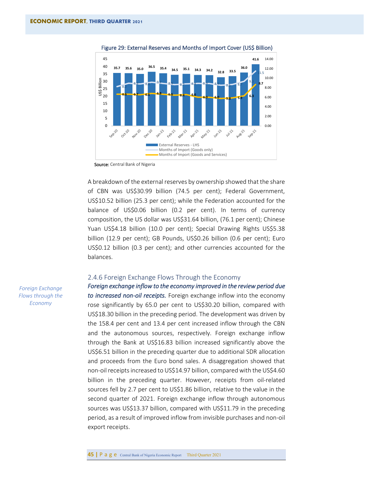<span id="page-49-1"></span>

Figure 29: External Reserves and Months of Import Cover (US\$ Billion)

Source: Central Bank of Nigeria

A breakdown of the external reserves by ownership showed that the share of CBN was US\$30.99 billion (74.5 per cent); Federal Government, US\$10.52 billion (25.3 per cent); while the Federation accounted for the balance of US\$0.06 billion (0.2 per cent). In terms of currency composition, the US dollar was US\$31.64 billion, (76.1 per cent); Chinese Yuan US\$4.18 billion (10.0 per cent); Special Drawing Rights US\$5.38 billion (12.9 per cent); GB Pounds, US\$0.26 billion (0.6 per cent); Euro US\$0.12 billion (0.3 per cent); and other currencies accounted for the balances.

### <span id="page-49-0"></span>2.4.6 Foreign Exchange Flows Through the Economy

*Foreign exchange inflow to the economy improved in the review period due to increased non-oil receipts.* Foreign exchange inflow into the economy rose significantly by 65.0 per cent to US\$30.20 billion, compared with US\$18.30 billion in the preceding period. The development was driven by the 158.4 per cent and 13.4 per cent increased inflow through the CBN and the autonomous sources, respectively. Foreign exchange inflow through the Bank at US\$16.83 billion increased significantly above the US\$6.51 billion in the preceding quarter due to additional SDR allocation and proceeds from the Euro bond sales. A disaggregation showed that non-oil receipts increased to US\$14.97 billion, compared with the US\$4.60 billion in the preceding quarter. However, receipts from oil-related sources fell by 2.7 per cent to US\$1.86 billion, relative to the value in the second quarter of 2021. Foreign exchange inflow through autonomous sources was US\$13.37 billion, compared with US\$11.79 in the preceding period, as a result of improved inflow from invisible purchases and non-oil export receipts.

*Foreign Exchange Flows through the Economy*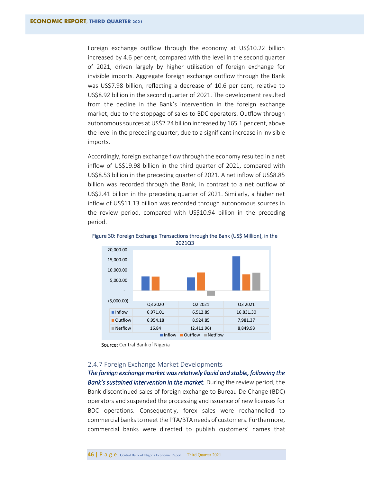Foreign exchange outflow through the economy at US\$10.22 billion increased by 4.6 per cent, compared with the level in the second quarter of 2021, driven largely by higher utilisation of foreign exchange for invisible imports. Aggregate foreign exchange outflow through the Bank was US\$7.98 billion, reflecting a decrease of 10.6 per cent, relative to US\$8.92 billion in the second quarter of 2021. The development resulted from the decline in the Bank's intervention in the foreign exchange market, due to the stoppage of sales to BDC operators. Outflow through autonomous sources at US\$2.24 billion increased by 165.1 per cent, above the level in the preceding quarter, due to a significant increase in invisible imports.

Accordingly, foreign exchange flow through the economy resulted in a net inflow of US\$19.98 billion in the third quarter of 2021, compared with US\$8.53 billion in the preceding quarter of 2021. A net inflow of US\$8.85 billion was recorded through the Bank, in contrast to a net outflow of US\$2.41 billion in the preceding quarter of 2021. Similarly, a higher net inflow of US\$11.13 billion was recorded through autonomous sources in the review period, compared with US\$10.94 billion in the preceding period.



<span id="page-50-1"></span>Figure 30: Foreign Exchange Transactions through the Bank (US\$ Million), in the 2021Q3

Source: Central Bank of Nigeria

# <span id="page-50-0"></span>2.4.7 Foreign Exchange Market Developments

*The foreign exchange market was relatively liquid and stable, following the*  Bank's sustained intervention in the market. During the review period, the Bank discontinued sales of foreign exchange to Bureau De Change (BDC) operators and suspended the processing and issuance of new licenses for BDC operations. Consequently, forex sales were rechannelled to commercial banks to meet the PTA/BTA needs of customers. Furthermore, commercial banks were directed to publish customers' names that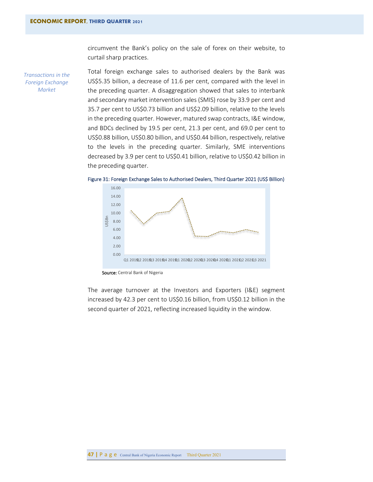circumvent the Bank's policy on the sale of forex on their website, to curtail sharp practices.

*Transactions in the Foreign Exchange Market*

Total foreign exchange sales to authorised dealers by the Bank was US\$5.35 billion, a decrease of 11.6 per cent, compared with the level in the preceding quarter. A disaggregation showed that sales to interbank and secondary market intervention sales (SMIS) rose by 33.9 per cent and 35.7 per cent to US\$0.73 billion and US\$2.09 billion, relative to the levels in the preceding quarter. However, matured swap contracts, I&E window, and BDCs declined by 19.5 per cent, 21.3 per cent, and 69.0 per cent to US\$0.88 billion, US\$0.80 billion, and US\$0.44 billion, respectively, relative to the levels in the preceding quarter. Similarly, SME interventions decreased by 3.9 per cent to US\$0.41 billion, relative to US\$0.42 billion in the preceding quarter.



<span id="page-51-0"></span>Figure 31: Foreign Exchange Sales to Authorised Dealers, Third Quarter 2021 (US\$ Billion)

Source: Central Bank of Nigeria

The average turnover at the Investors and Exporters (I&E) segment increased by 42.3 per cent to US\$0.16 billion, from US\$0.12 billion in the second quarter of 2021, reflecting increased liquidity in the window.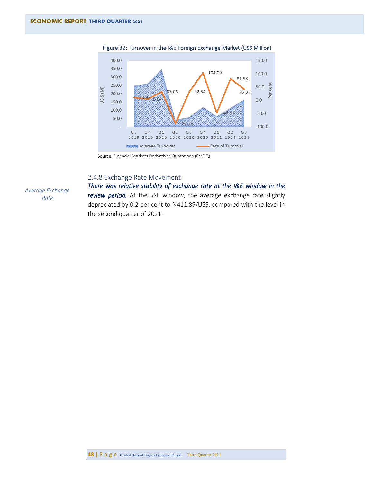<span id="page-52-1"></span>

Figure 32: Turnover in the I&E Foreign Exchange Market (US\$ Million)

Source: Financial Markets Derivatives Quotations (FMDQ)

# <span id="page-52-0"></span>2.4.8 Exchange Rate Movement

*Average Exchange Rate* 

*There was relative stability of exchange rate at the I&E window in the review period.* At the I&E window, the average exchange rate slightly depreciated by 0.2 per cent to ₦411.89/US\$, compared with the level in the second quarter of 2021.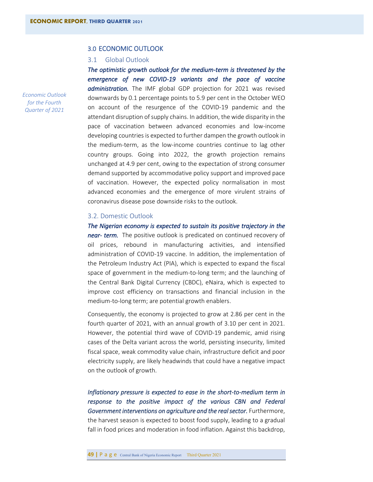# <span id="page-53-0"></span>3.0 ECONOMIC OUTLOOK

### <span id="page-53-1"></span>3.1 Global Outlook

*The optimistic growth outlook for the medium-term is threatened by the emergence of new COVID-19 variants and the pace of vaccine administration.* The IMF global GDP projection for 2021 was revised downwards by 0.1 percentage points to 5.9 per cent in the October WEO on account of the resurgence of the COVID-19 pandemic and the attendant disruption of supply chains. In addition, the wide disparity in the pace of vaccination between advanced economies and low-income developing countries is expected to further dampen the growth outlook in the medium-term, as the low-income countries continue to lag other country groups. Going into 2022, the growth projection remains unchanged at 4.9 per cent, owing to the expectation of strong consumer demand supported by accommodative policy support and improved pace of vaccination. However, the expected policy normalisation in most advanced economies and the emergence of more virulent strains of coronavirus disease pose downside risks to the outlook.

# 3.2. Domestic Outlook

*The Nigerian economy is expected to sustain its positive trajectory in the near- term.* The positive outlook is predicated on continued recovery of oil prices, rebound in manufacturing activities, and intensified administration of COVID-19 vaccine. In addition, the implementation of the Petroleum Industry Act (PIA), which is expected to expand the fiscal space of government in the medium-to-long term; and the launching of the Central Bank Digital Currency (CBDC), eNaira, which is expected to improve cost efficiency on transactions and financial inclusion in the medium-to-long term; are potential growth enablers.

Consequently, the economy is projected to grow at 2.86 per cent in the fourth quarter of 2021, with an annual growth of 3.10 per cent in 2021. However, the potential third wave of COVID-19 pandemic, amid rising cases of the Delta variant across the world, persisting insecurity, limited fiscal space, weak commodity value chain, infrastructure deficit and poor electricity supply, are likely headwinds that could have a negative impact on the outlook of growth.

*Inflationary pressure is expected to ease in the short-to-medium term in response to the positive impact of the various CBN and Federal*  Government interventions on agriculture and the real sector. Furthermore, the harvest season is expected to boost food supply, leading to a gradual fall in food prices and moderation in food inflation. Against this backdrop,

*Economic Outlook for the Fourth Quarter of 2021*